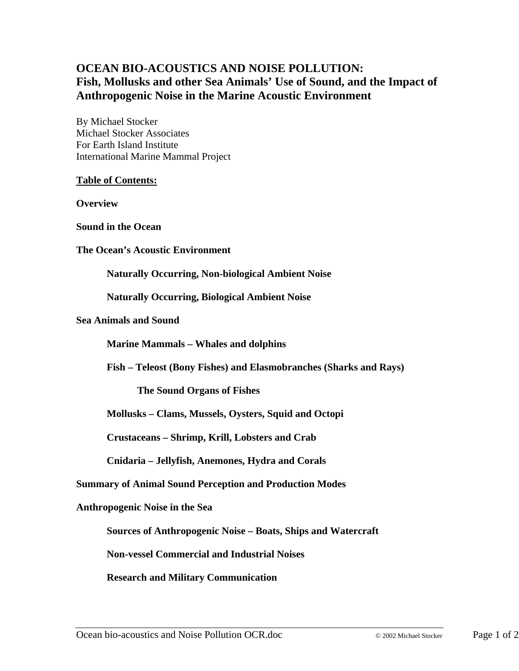# **OCEAN BIO-ACOUSTICS AND NOISE POLLUTION: Fish, Mollusks and other Sea Animals' Use of Sound, and the Impact of Anthropogenic Noise in the Marine Acoustic Environment**

By Michael Stocker Michael Stocker Associates For Earth Island Institute International Marine Mammal Project

#### **Table of Contents:**

**Overview** 

#### **Sound in the Ocean**

#### **The Ocean's Acoustic Environment**

**Naturally Occurring, Non-biological Ambient Noise**

**Naturally Occurring, Biological Ambient Noise**

#### **Sea Animals and Sound**

**Marine Mammals – Whales and dolphins**

**Fish – Teleost (Bony Fishes) and Elasmobranches (Sharks and Rays)**

**The Sound Organs of Fishes**

**Mollusks – Clams, Mussels, Oysters, Squid and Octopi** 

**Crustaceans – Shrimp, Krill, Lobsters and Crab**

**Cnidaria – Jellyfish, Anemones, Hydra and Corals** 

#### **Summary of Animal Sound Perception and Production Modes**

#### **Anthropogenic Noise in the Sea**

**Sources of Anthropogenic Noise – Boats, Ships and Watercraft**

**Non-vessel Commercial and Industrial Noises**

**Research and Military Communication**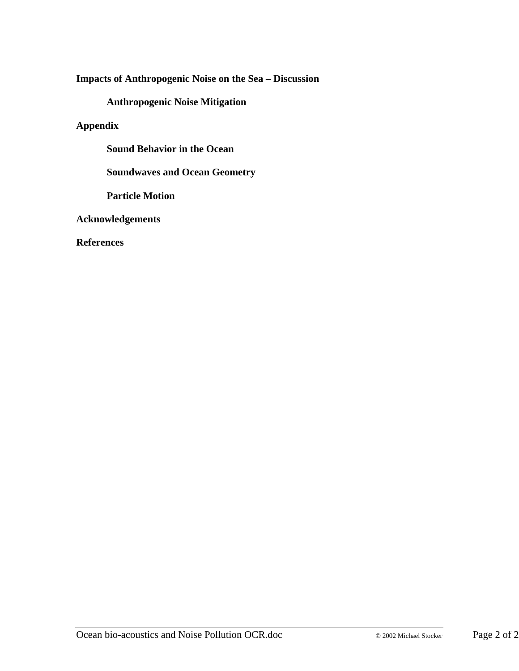# **Impacts of Anthropogenic Noise on the Sea – Discussion**

**Anthropogenic Noise Mitigation**

# **Appendix**

**Sound Behavior in the Ocean**

**Soundwaves and Ocean Geometry**

**Particle Motion** 

**Acknowledgements** 

**References**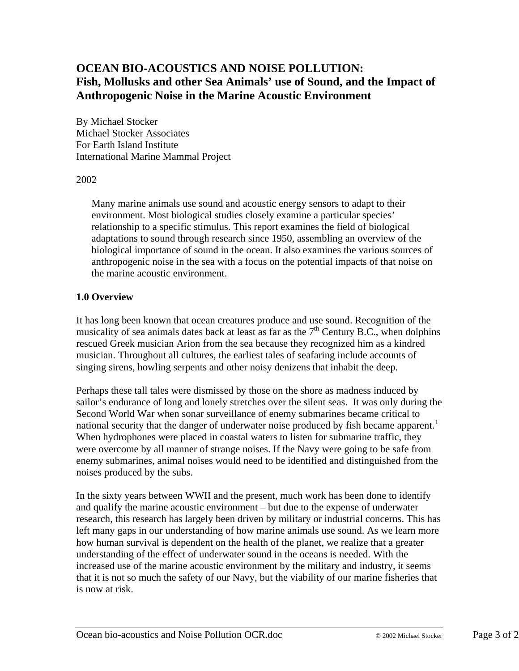# **OCEAN BIO-ACOUSTICS AND NOISE POLLUTION: Fish, Mollusks and other Sea Animals' use of Sound, and the Impact of Anthropogenic Noise in the Marine Acoustic Environment**

By Michael Stocker Michael Stocker Associates For Earth Island Institute International Marine Mammal Project

#### 2002

Many marine animals use sound and acoustic energy sensors to adapt to their environment. Most biological studies closely examine a particular species' relationship to a specific stimulus. This report examines the field of biological adaptations to sound through research since 1950, assembling an overview of the biological importance of sound in the ocean. It also examines the various sources of anthropogenic noise in the sea with a focus on the potential impacts of that noise on the marine acoustic environment.

#### **1.0 Overview**

It has long been known that ocean creatures produce and use sound. Recognition of the musicality of sea animals dates back at least as far as the  $7<sup>th</sup>$  Century B.C., when dolphins rescued Greek musician Arion from the sea because they recognized him as a kindred musician. Throughout all cultures, the earliest tales of seafaring include accounts of singing sirens, howling serpents and other noisy denizens that inhabit the deep.

Perhaps these tall tales were dismissed by those on the shore as madness induced by sailor's endurance of long and lonely stretches over the silent seas. It was only during the Second World War when sonar surveillance of enemy submarines became critical to national security that the danger of underwater noise produced by fish became apparent.<sup>[1](#page-25-0)</sup> When hydrophones were placed in coastal waters to listen for submarine traffic, they were overcome by all manner of strange noises. If the Navy were going to be safe from enemy submarines, animal noises would need to be identified and distinguished from the noises produced by the subs.

In the sixty years between WWII and the present, much work has been done to identify and qualify the marine acoustic environment – but due to the expense of underwater research, this research has largely been driven by military or industrial concerns. This has left many gaps in our understanding of how marine animals use sound. As we learn more how human survival is dependent on the health of the planet, we realize that a greater understanding of the effect of underwater sound in the oceans is needed. With the increased use of the marine acoustic environment by the military and industry, it seems that it is not so much the safety of our Navy, but the viability of our marine fisheries that is now at risk.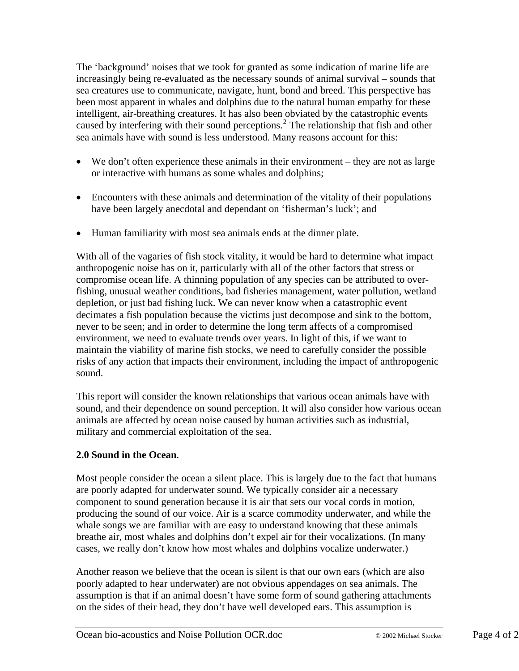The 'background' noises that we took for granted as some indication of marine life are increasingly being re-evaluated as the necessary sounds of animal survival – sounds that sea creatures use to communicate, navigate, hunt, bond and breed. This perspective has been most apparent in whales and dolphins due to the natural human empathy for these intelligent, air-breathing creatures. It has also been obviated by the catastrophic events caused by interfering with their sound perceptions.<sup>[2](#page-25-1)</sup> The relationship that fish and other sea animals have with sound is less understood. Many reasons account for this:

- We don't often experience these animals in their environment they are not as large or interactive with humans as some whales and dolphins;
- Encounters with these animals and determination of the vitality of their populations have been largely anecdotal and dependant on 'fisherman's luck'; and
- Human familiarity with most sea animals ends at the dinner plate.

With all of the vagaries of fish stock vitality, it would be hard to determine what impact anthropogenic noise has on it, particularly with all of the other factors that stress or compromise ocean life. A thinning population of any species can be attributed to overfishing, unusual weather conditions, bad fisheries management, water pollution, wetland depletion, or just bad fishing luck. We can never know when a catastrophic event decimates a fish population because the victims just decompose and sink to the bottom, never to be seen; and in order to determine the long term affects of a compromised environment, we need to evaluate trends over years. In light of this, if we want to maintain the viability of marine fish stocks, we need to carefully consider the possible risks of any action that impacts their environment, including the impact of anthropogenic sound.

This report will consider the known relationships that various ocean animals have with sound, and their dependence on sound perception. It will also consider how various ocean animals are affected by ocean noise caused by human activities such as industrial, military and commercial exploitation of the sea.

# **2.0 Sound in the Ocean**.

Most people consider the ocean a silent place. This is largely due to the fact that humans are poorly adapted for underwater sound. We typically consider air a necessary component to sound generation because it is air that sets our vocal cords in motion, producing the sound of our voice. Air is a scarce commodity underwater, and while the whale songs we are familiar with are easy to understand knowing that these animals breathe air, most whales and dolphins don't expel air for their vocalizations. (In many cases, we really don't know how most whales and dolphins vocalize underwater.)

Another reason we believe that the ocean is silent is that our own ears (which are also poorly adapted to hear underwater) are not obvious appendages on sea animals. The assumption is that if an animal doesn't have some form of sound gathering attachments on the sides of their head, they don't have well developed ears. This assumption is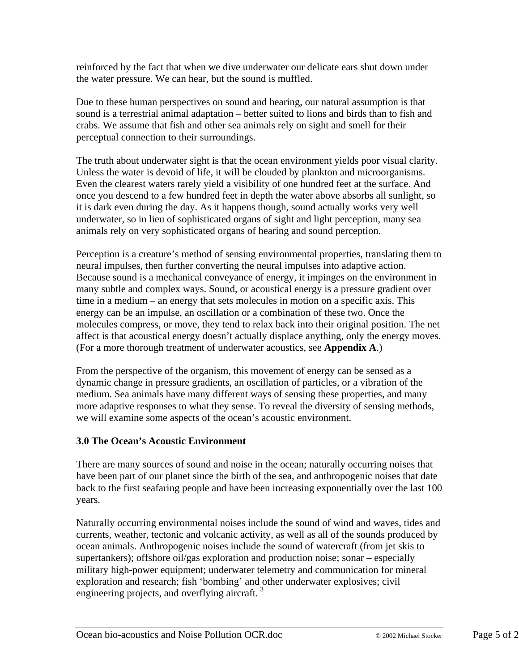reinforced by the fact that when we dive underwater our delicate ears shut down under the water pressure. We can hear, but the sound is muffled.

Due to these human perspectives on sound and hearing, our natural assumption is that sound is a terrestrial animal adaptation – better suited to lions and birds than to fish and crabs. We assume that fish and other sea animals rely on sight and smell for their perceptual connection to their surroundings.

The truth about underwater sight is that the ocean environment yields poor visual clarity. Unless the water is devoid of life, it will be clouded by plankton and microorganisms. Even the clearest waters rarely yield a visibility of one hundred feet at the surface. And once you descend to a few hundred feet in depth the water above absorbs all sunlight, so it is dark even during the day. As it happens though, sound actually works very well underwater, so in lieu of sophisticated organs of sight and light perception, many sea animals rely on very sophisticated organs of hearing and sound perception.

Perception is a creature's method of sensing environmental properties, translating them to neural impulses, then further converting the neural impulses into adaptive action. Because sound is a mechanical conveyance of energy, it impinges on the environment in many subtle and complex ways. Sound, or acoustical energy is a pressure gradient over time in a medium – an energy that sets molecules in motion on a specific axis. This energy can be an impulse, an oscillation or a combination of these two. Once the molecules compress, or move, they tend to relax back into their original position. The net affect is that acoustical energy doesn't actually displace anything, only the energy moves. (For a more thorough treatment of underwater acoustics, see **Appendix A**.)

From the perspective of the organism, this movement of energy can be sensed as a dynamic change in pressure gradients, an oscillation of particles, or a vibration of the medium. Sea animals have many different ways of sensing these properties, and many more adaptive responses to what they sense. To reveal the diversity of sensing methods, we will examine some aspects of the ocean's acoustic environment.

#### **3.0 The Ocean's Acoustic Environment**

There are many sources of sound and noise in the ocean; naturally occurring noises that have been part of our planet since the birth of the sea, and anthropogenic noises that date back to the first seafaring people and have been increasing exponentially over the last 100 years.

Naturally occurring environmental noises include the sound of wind and waves, tides and currents, weather, tectonic and volcanic activity, as well as all of the sounds produced by ocean animals. Anthropogenic noises include the sound of watercraft (from jet skis to supertankers); offshore oil/gas exploration and production noise; sonar – especially military high-power equipment; underwater telemetry and communication for mineral exploration and research; fish 'bombing' and other underwater explosives; civil engineering projects, and overflying aircraft.<sup>[3](#page-25-2)</sup>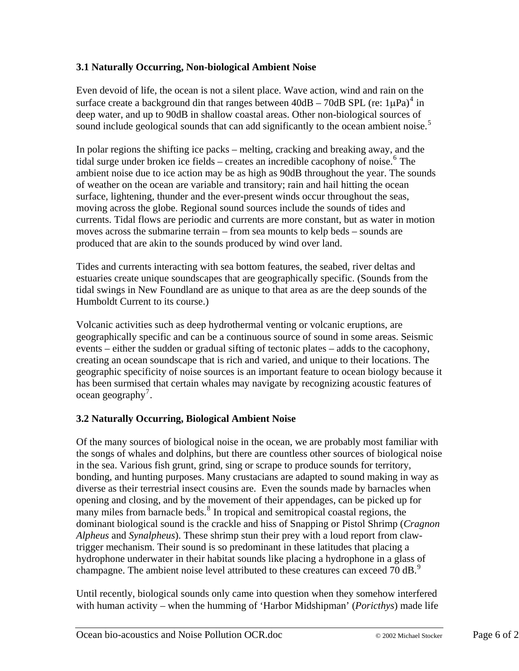# **3.1 Naturally Occurring, Non-biological Ambient Noise**

Even devoid of life, the ocean is not a silent place. Wave action, wind and rain on the surface create a background din that ranges between  $40 \text{dB} - 70 \text{dB}$  $40 \text{dB} - 70 \text{dB}$  SPL (re:  $1 \mu \text{Pa}$ )<sup>4</sup> in deep water, and up to 90dB in shallow coastal areas. Other non-biological sources of sound include geological sounds that can add significantly to the ocean ambient noise.<sup>[5](#page-25-4)</sup>

In polar regions the shifting ice packs – melting, cracking and breaking away, and the tidal surge under broken ice fields – creates an incredible cacophony of noise.<sup>[6](#page-25-5)</sup> The ambient noise due to ice action may be as high as 90dB throughout the year. The sounds of weather on the ocean are variable and transitory; rain and hail hitting the ocean surface, lightening, thunder and the ever-present winds occur throughout the seas, moving across the globe. Regional sound sources include the sounds of tides and currents. Tidal flows are periodic and currents are more constant, but as water in motion moves across the submarine terrain – from sea mounts to kelp beds – sounds are produced that are akin to the sounds produced by wind over land.

Tides and currents interacting with sea bottom features, the seabed, river deltas and estuaries create unique soundscapes that are geographically specific. (Sounds from the tidal swings in New Foundland are as unique to that area as are the deep sounds of the Humboldt Current to its course.)

Volcanic activities such as deep hydrothermal venting or volcanic eruptions, are geographically specific and can be a continuous source of sound in some areas. Seismic events – either the sudden or gradual sifting of tectonic plates – adds to the cacophony, creating an ocean soundscape that is rich and varied, and unique to their locations. The geographic specificity of noise sources is an important feature to ocean biology because it has been surmised that certain whales may navigate by recognizing acoustic features of ocean geography<sup>[7](#page-25-6)</sup>.

#### **3.2 Naturally Occurring, Biological Ambient Noise**

Of the many sources of biological noise in the ocean, we are probably most familiar with the songs of whales and dolphins, but there are countless other sources of biological noise in the sea. Various fish grunt, grind, sing or scrape to produce sounds for territory, bonding, and hunting purposes. Many crustacians are adapted to sound making in way as diverse as their terrestrial insect cousins are. Even the sounds made by barnacles when opening and closing, and by the movement of their appendages, can be picked up for many miles from barnacle beds.<sup>[8](#page-25-7)</sup> In tropical and semitropical coastal regions, the dominant biological sound is the crackle and hiss of Snapping or Pistol Shrimp (*Cragnon Alpheus* and *Synalpheus*). These shrimp stun their prey with a loud report from clawtrigger mechanism. Their sound is so predominant in these latitudes that placing a hydrophone underwater in their habitat sounds like placing a hydrophone in a glass of champagne. The ambient noise level attributed to these creatures can exceed 70 dB.<sup>[9](#page-25-8)</sup>

Until recently, biological sounds only came into question when they somehow interfered with human activity – when the humming of 'Harbor Midshipman' (*Poricthys*) made life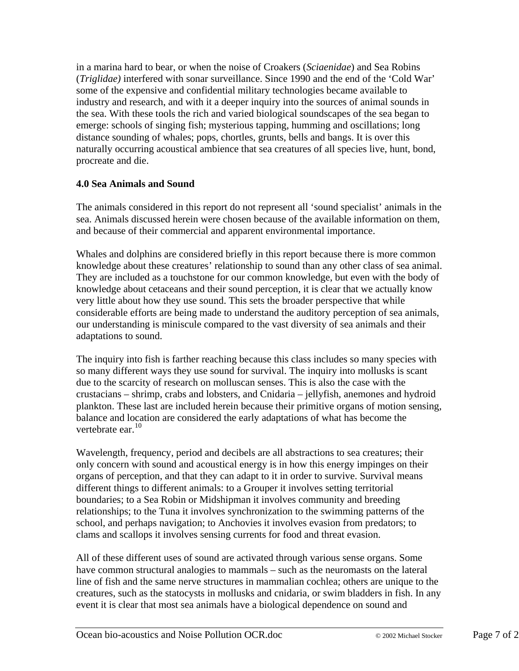in a marina hard to bear, or when the noise of Croakers (*Sciaenidae*) and Sea Robins (*Triglidae)* interfered with sonar surveillance. Since 1990 and the end of the 'Cold War' some of the expensive and confidential military technologies became available to industry and research, and with it a deeper inquiry into the sources of animal sounds in the sea. With these tools the rich and varied biological soundscapes of the sea began to emerge: schools of singing fish; mysterious tapping, humming and oscillations; long distance sounding of whales; pops, chortles, grunts, bells and bangs. It is over this naturally occurring acoustical ambience that sea creatures of all species live, hunt, bond, procreate and die.

#### **4.0 Sea Animals and Sound**

The animals considered in this report do not represent all 'sound specialist' animals in the sea. Animals discussed herein were chosen because of the available information on them, and because of their commercial and apparent environmental importance.

Whales and dolphins are considered briefly in this report because there is more common knowledge about these creatures' relationship to sound than any other class of sea animal. They are included as a touchstone for our common knowledge, but even with the body of knowledge about cetaceans and their sound perception, it is clear that we actually know very little about how they use sound. This sets the broader perspective that while considerable efforts are being made to understand the auditory perception of sea animals, our understanding is miniscule compared to the vast diversity of sea animals and their adaptations to sound.

The inquiry into fish is farther reaching because this class includes so many species with so many different ways they use sound for survival. The inquiry into mollusks is scant due to the scarcity of research on molluscan senses. This is also the case with the crustacians – shrimp, crabs and lobsters, and Cnidaria – jellyfish, anemones and hydroid plankton. These last are included herein because their primitive organs of motion sensing, balance and location are considered the early adaptations of what has become the vertebrate ear.<sup>[10](#page-25-9)</sup>

Wavelength, frequency, period and decibels are all abstractions to sea creatures; their only concern with sound and acoustical energy is in how this energy impinges on their organs of perception, and that they can adapt to it in order to survive. Survival means different things to different animals: to a Grouper it involves setting territorial boundaries; to a Sea Robin or Midshipman it involves community and breeding relationships; to the Tuna it involves synchronization to the swimming patterns of the school, and perhaps navigation; to Anchovies it involves evasion from predators; to clams and scallops it involves sensing currents for food and threat evasion.

All of these different uses of sound are activated through various sense organs. Some have common structural analogies to mammals – such as the neuromasts on the lateral line of fish and the same nerve structures in mammalian cochlea; others are unique to the creatures, such as the statocysts in mollusks and cnidaria, or swim bladders in fish. In any event it is clear that most sea animals have a biological dependence on sound and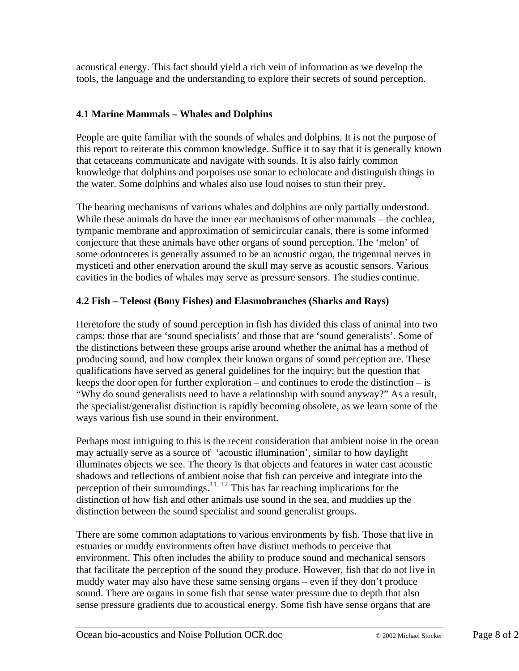acoustical energy. This fact should yield a rich vein of information as we develop the tools, the language and the understanding to explore their secrets of sound perception.

# **4.1 Marine Mammals – Whales and Dolphins**

People are quite familiar with the sounds of whales and dolphins. It is not the purpose of this report to reiterate this common knowledge. Suffice it to say that it is generally known that cetaceans communicate and navigate with sounds. It is also fairly common knowledge that dolphins and porpoises use sonar to echolocate and distinguish things in the water. Some dolphins and whales also use loud noises to stun their prey.

The hearing mechanisms of various whales and dolphins are only partially understood. While these animals do have the inner ear mechanisms of other mammals – the cochlea, tympanic membrane and approximation of semicircular canals, there is some informed conjecture that these animals have other organs of sound perception. The 'melon' of some odontocetes is generally assumed to be an acoustic organ, the trigemnal nerves in mysticeti and other enervation around the skull may serve as acoustic sensors. Various cavities in the bodies of whales may serve as pressure sensors. The studies continue.

### **4.2 Fish – Teleost (Bony Fishes) and Elasmobranches (Sharks and Rays)**

Heretofore the study of sound perception in fish has divided this class of animal into two camps: those that are 'sound specialists' and those that are 'sound generalists'. Some of the distinctions between these groups arise around whether the animal has a method of producing sound, and how complex their known organs of sound perception are. These qualifications have served as general guidelines for the inquiry; but the question that keeps the door open for further exploration – and continues to erode the distinction – is "Why do sound generalists need to have a relationship with sound anyway?" As a result, the specialist/generalist distinction is rapidly becoming obsolete, as we learn some of the ways various fish use sound in their environment.

Perhaps most intriguing to this is the recent consideration that ambient noise in the ocean may actually serve as a source of 'acoustic illumination', similar to how daylight illuminates objects we see. The theory is that objects and features in water cast acoustic shadows and reflections of ambient noise that fish can perceive and integrate into the perception of their surroundings.<sup>[11](#page-25-10), [12](#page-25-11)</sup> This has far reaching implications for the distinction of how fish and other animals use sound in the sea, and muddies up the distinction between the sound specialist and sound generalist groups.

There are some common adaptations to various environments by fish. Those that live in estuaries or muddy environments often have distinct methods to perceive that environment. This often includes the ability to produce sound and mechanical sensors that facilitate the perception of the sound they produce. However, fish that do not live in muddy water may also have these same sensing organs – even if they don't produce sound. There are organs in some fish that sense water pressure due to depth that also sense pressure gradients due to acoustical energy. Some fish have sense organs that are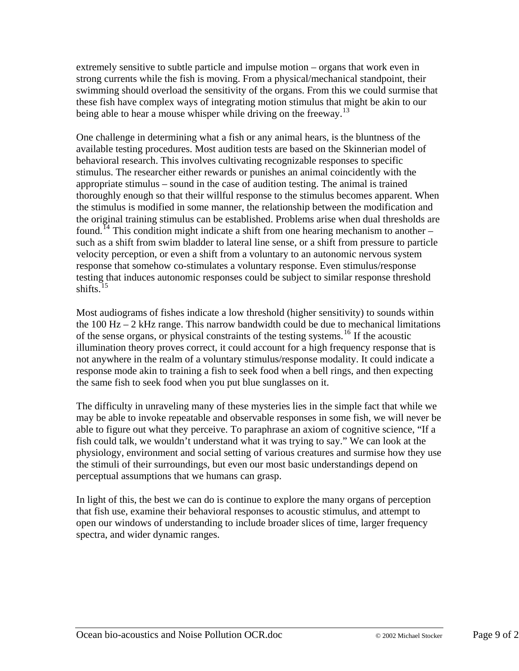extremely sensitive to subtle particle and impulse motion – organs that work even in strong currents while the fish is moving. From a physical/mechanical standpoint, their swimming should overload the sensitivity of the organs. From this we could surmise that these fish have complex ways of integrating motion stimulus that might be akin to our being able to hear a mouse whisper while driving on the freeway.<sup>[13](#page-25-12)</sup>

One challenge in determining what a fish or any animal hears, is the bluntness of the available testing procedures. Most audition tests are based on the Skinnerian model of behavioral research. This involves cultivating recognizable responses to specific stimulus. The researcher either rewards or punishes an animal coincidently with the appropriate stimulus – sound in the case of audition testing. The animal is trained thoroughly enough so that their willful response to the stimulus becomes apparent. When the stimulus is modified in some manner, the relationship between the modification and the original training stimulus can be established. Problems arise when dual thresholds are found.<sup>[14](#page-25-13)</sup> This condition might indicate a shift from one hearing mechanism to another – such as a shift from swim bladder to lateral line sense, or a shift from pressure to particle velocity perception, or even a shift from a voluntary to an autonomic nervous system response that somehow co-stimulates a voluntary response. Even stimulus/response testing that induces autonomic responses could be subject to similar response threshold shifts $15$ 

Most audiograms of fishes indicate a low threshold (higher sensitivity) to sounds within the  $100$  Hz  $-2$  kHz range. This narrow bandwidth could be due to mechanical limitations of the sense organs, or physical constraints of the testing systems.[16](#page-25-15) If the acoustic illumination theory proves correct, it could account for a high frequency response that is not anywhere in the realm of a voluntary stimulus/response modality. It could indicate a response mode akin to training a fish to seek food when a bell rings, and then expecting the same fish to seek food when you put blue sunglasses on it.

The difficulty in unraveling many of these mysteries lies in the simple fact that while we may be able to invoke repeatable and observable responses in some fish, we will never be able to figure out what they perceive. To paraphrase an axiom of cognitive science, "If a fish could talk, we wouldn't understand what it was trying to say." We can look at the physiology, environment and social setting of various creatures and surmise how they use the stimuli of their surroundings, but even our most basic understandings depend on perceptual assumptions that we humans can grasp.

In light of this, the best we can do is continue to explore the many organs of perception that fish use, examine their behavioral responses to acoustic stimulus, and attempt to open our windows of understanding to include broader slices of time, larger frequency spectra, and wider dynamic ranges.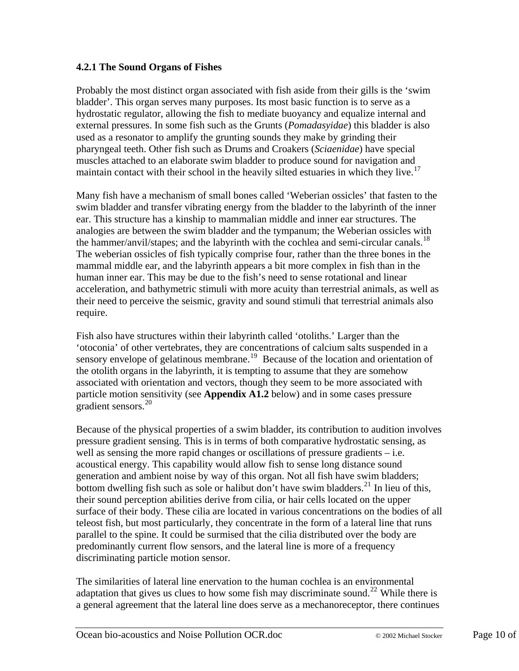### **4.2.1 The Sound Organs of Fishes**

Probably the most distinct organ associated with fish aside from their gills is the 'swim bladder'. This organ serves many purposes. Its most basic function is to serve as a hydrostatic regulator, allowing the fish to mediate buoyancy and equalize internal and external pressures. In some fish such as the Grunts (*Pomadasyidae*) this bladder is also used as a resonator to amplify the grunting sounds they make by grinding their pharyngeal teeth. Other fish such as Drums and Croakers (*Sciaenidae*) have special muscles attached to an elaborate swim bladder to produce sound for navigation and maintain contact with their school in the heavily silted estuaries in which they live.<sup>[17](#page-25-16)</sup>

Many fish have a mechanism of small bones called 'Weberian ossicles' that fasten to the swim bladder and transfer vibrating energy from the bladder to the labyrinth of the inner ear. This structure has a kinship to mammalian middle and inner ear structures. The analogies are between the swim bladder and the tympanum; the Weberian ossicles with the hammer/anvil/stapes; and the labyrinth with the cochlea and semi-circular canals.<sup>[18](#page-25-17)</sup> The weberian ossicles of fish typically comprise four, rather than the three bones in the mammal middle ear, and the labyrinth appears a bit more complex in fish than in the human inner ear. This may be due to the fish's need to sense rotational and linear acceleration, and bathymetric stimuli with more acuity than terrestrial animals, as well as their need to perceive the seismic, gravity and sound stimuli that terrestrial animals also require.

Fish also have structures within their labyrinth called 'otoliths.' Larger than the 'otoconia' of other vertebrates, they are concentrations of calcium salts suspended in a sensory envelope of gelatinous membrane.<sup>[19](#page-25-18)</sup> Because of the location and orientation of the otolith organs in the labyrinth, it is tempting to assume that they are somehow associated with orientation and vectors, though they seem to be more associated with particle motion sensitivity (see **Appendix A1.2** below) and in some cases pressure gradient sensors.<sup>[20](#page-25-19)</sup>

Because of the physical properties of a swim bladder, its contribution to audition involves pressure gradient sensing. This is in terms of both comparative hydrostatic sensing, as well as sensing the more rapid changes or oscillations of pressure gradients – i.e. acoustical energy. This capability would allow fish to sense long distance sound generation and ambient noise by way of this organ. Not all fish have swim bladders; bottom dwelling fish such as sole or halibut don't have swim bladders.<sup>[21](#page-25-20)</sup> In lieu of this, their sound perception abilities derive from cilia, or hair cells located on the upper surface of their body. These cilia are located in various concentrations on the bodies of all teleost fish, but most particularly, they concentrate in the form of a lateral line that runs parallel to the spine. It could be surmised that the cilia distributed over the body are predominantly current flow sensors, and the lateral line is more of a frequency discriminating particle motion sensor.

The similarities of lateral line enervation to the human cochlea is an environmental adaptation that gives us clues to how some fish may discriminate sound.<sup>[22](#page-25-21)</sup> While there is a general agreement that the lateral line does serve as a mechanoreceptor, there continues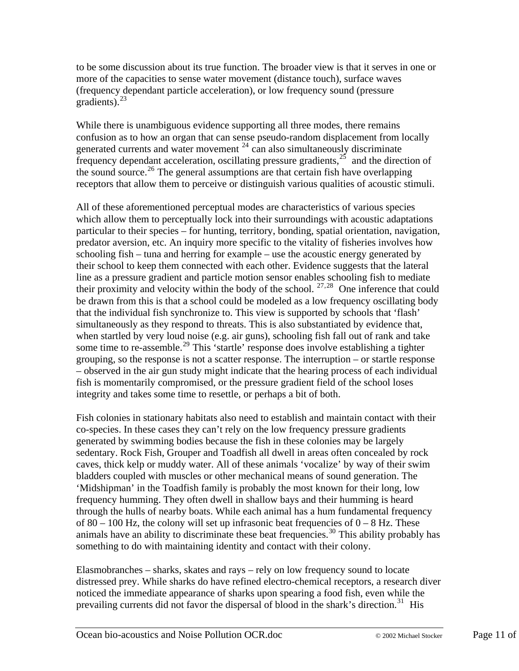to be some discussion about its true function. The broader view is that it serves in one or more of the capacities to sense water movement (distance touch), surface waves (frequency dependant particle acceleration), or low frequency sound (pressure gradients). $^{23}$  $^{23}$  $^{23}$ 

While there is unambiguous evidence supporting all three modes, there remains confusion as to how an organ that can sense pseudo-random displacement from locally generated currents and water movement  $24$  can also simultaneously discriminate frequency dependant acceleration, oscillating pressure gradients,  $2<sup>5</sup>$  and the direction of the sound source.<sup>[26](#page-26-2)</sup> The general assumptions are that certain fish have overlapping receptors that allow them to perceive or distinguish various qualities of acoustic stimuli.

All of these aforementioned perceptual modes are characteristics of various species which allow them to perceptually lock into their surroundings with acoustic adaptations particular to their species – for hunting, territory, bonding, spatial orientation, navigation, predator aversion, etc. An inquiry more specific to the vitality of fisheries involves how schooling fish – tuna and herring for example – use the acoustic energy generated by their school to keep them connected with each other. Evidence suggests that the lateral line as a pressure gradient and particle motion sensor enables schooling fish to mediate their proximity and velocity within the body of the school.  $27,28$  $27,28$  $27,28$  One inference that could be drawn from this is that a school could be modeled as a low frequency oscillating body that the individual fish synchronize to. This view is supported by schools that 'flash' simultaneously as they respond to threats. This is also substantiated by evidence that, when startled by very loud noise (e.g. air guns), schooling fish fall out of rank and take some time to re-assemble.<sup>[29](#page-26-5)</sup> This 'startle' response does involve establishing a tighter grouping, so the response is not a scatter response. The interruption – or startle response – observed in the air gun study might indicate that the hearing process of each individual fish is momentarily compromised, or the pressure gradient field of the school loses integrity and takes some time to resettle, or perhaps a bit of both.

Fish colonies in stationary habitats also need to establish and maintain contact with their co-species. In these cases they can't rely on the low frequency pressure gradients generated by swimming bodies because the fish in these colonies may be largely sedentary. Rock Fish, Grouper and Toadfish all dwell in areas often concealed by rock caves, thick kelp or muddy water. All of these animals 'vocalize' by way of their swim bladders coupled with muscles or other mechanical means of sound generation. The 'Midshipman' in the Toadfish family is probably the most known for their long, low frequency humming. They often dwell in shallow bays and their humming is heard through the hulls of nearby boats. While each animal has a hum fundamental frequency of  $80 - 100$  Hz, the colony will set up infrasonic beat frequencies of  $0 - 8$  Hz. These animals have an ability to discriminate these beat frequencies.<sup>[30](#page-26-6)</sup> This ability probably has something to do with maintaining identity and contact with their colony.

Elasmobranches – sharks, skates and rays – rely on low frequency sound to locate distressed prey. While sharks do have refined electro-chemical receptors, a research diver noticed the immediate appearance of sharks upon spearing a food fish, even while the prevailing currents did not favor the dispersal of blood in the shark's direction.<sup>[31](#page-26-7)</sup> His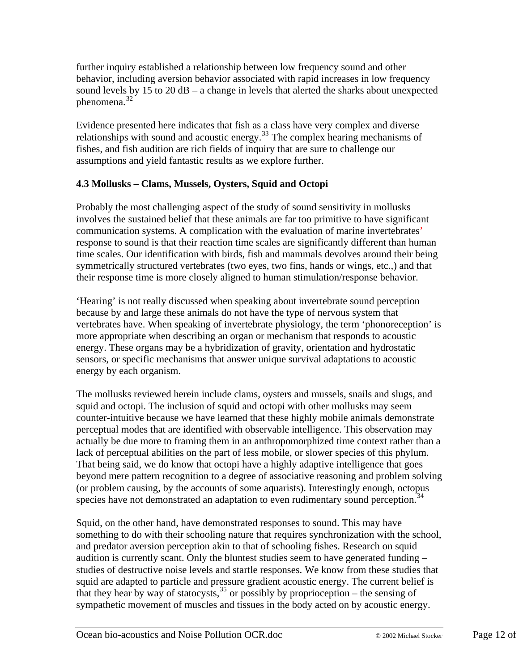further inquiry established a relationship between low frequency sound and other behavior, including aversion behavior associated with rapid increases in low frequency sound levels by 15 to 20  $dB - a$  change in levels that alerted the sharks about unexpected phenomena. $32$ 

Evidence presented here indicates that fish as a class have very complex and diverse relationships with sound and acoustic energy.<sup>[33](#page-26-9)</sup> The complex hearing mechanisms of fishes, and fish audition are rich fields of inquiry that are sure to challenge our assumptions and yield fantastic results as we explore further.

# **4.3 Mollusks – Clams, Mussels, Oysters, Squid and Octopi**

Probably the most challenging aspect of the study of sound sensitivity in mollusks involves the sustained belief that these animals are far too primitive to have significant communication systems. A complication with the evaluation of marine invertebrates' response to sound is that their reaction time scales are significantly different than human time scales. Our identification with birds, fish and mammals devolves around their being symmetrically structured vertebrates (two eyes, two fins, hands or wings, etc.,) and that their response time is more closely aligned to human stimulation/response behavior.

'Hearing' is not really discussed when speaking about invertebrate sound perception because by and large these animals do not have the type of nervous system that vertebrates have. When speaking of invertebrate physiology, the term 'phonoreception' is more appropriate when describing an organ or mechanism that responds to acoustic energy. These organs may be a hybridization of gravity, orientation and hydrostatic sensors, or specific mechanisms that answer unique survival adaptations to acoustic energy by each organism.

The mollusks reviewed herein include clams, oysters and mussels, snails and slugs, and squid and octopi. The inclusion of squid and octopi with other mollusks may seem counter-intuitive because we have learned that these highly mobile animals demonstrate perceptual modes that are identified with observable intelligence. This observation may actually be due more to framing them in an anthropomorphized time context rather than a lack of perceptual abilities on the part of less mobile, or slower species of this phylum. That being said, we do know that octopi have a highly adaptive intelligence that goes beyond mere pattern recognition to a degree of associative reasoning and problem solving (or problem causing, by the accounts of some aquarists). Interestingly enough, octopus species have not demonstrated an adaptation to even rudimentary sound perception.<sup>[34](#page-26-10)</sup>

Squid, on the other hand, have demonstrated responses to sound. This may have something to do with their schooling nature that requires synchronization with the school, and predator aversion perception akin to that of schooling fishes. Research on squid audition is currently scant. Only the bluntest studies seem to have generated funding – studies of destructive noise levels and startle responses. We know from these studies that squid are adapted to particle and pressure gradient acoustic energy. The current belief is that they hear by way of statocysts,  $35$  or possibly by proprioception – the sensing of sympathetic movement of muscles and tissues in the body acted on by acoustic energy.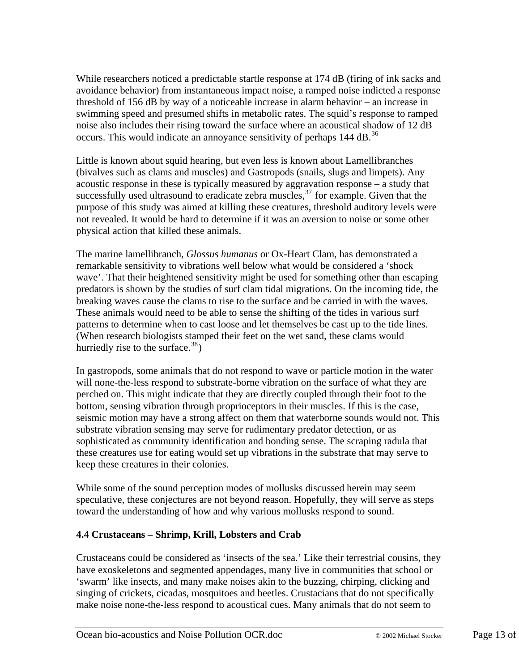While researchers noticed a predictable startle response at 174 dB (firing of ink sacks and avoidance behavior) from instantaneous impact noise, a ramped noise indicted a response threshold of 156 dB by way of a noticeable increase in alarm behavior – an increase in swimming speed and presumed shifts in metabolic rates. The squid's response to ramped noise also includes their rising toward the surface where an acoustical shadow of 12 dB occurs. This would indicate an annoyance sensitivity of perhaps 144 dB.<sup>[36](#page-26-12)</sup>

Little is known about squid hearing, but even less is known about Lamellibranches (bivalves such as clams and muscles) and Gastropods (snails, slugs and limpets). Any acoustic response in these is typically measured by aggravation response – a study that successfully used ultrasound to eradicate zebra muscles,  $37$  for example. Given that the purpose of this study was aimed at killing these creatures, threshold auditory levels were not revealed. It would be hard to determine if it was an aversion to noise or some other physical action that killed these animals.

The marine lamellibranch, *Glossus humanus* or Ox-Heart Clam, has demonstrated a remarkable sensitivity to vibrations well below what would be considered a 'shock wave'. That their heightened sensitivity might be used for something other than escaping predators is shown by the studies of surf clam tidal migrations. On the incoming tide, the breaking waves cause the clams to rise to the surface and be carried in with the waves. These animals would need to be able to sense the shifting of the tides in various surf patterns to determine when to cast loose and let themselves be cast up to the tide lines. (When research biologists stamped their feet on the wet sand, these clams would hurriedly rise to the surface. $38$ )

In gastropods, some animals that do not respond to wave or particle motion in the water will none-the-less respond to substrate-borne vibration on the surface of what they are perched on. This might indicate that they are directly coupled through their foot to the bottom, sensing vibration through proprioceptors in their muscles. If this is the case, seismic motion may have a strong affect on them that waterborne sounds would not. This substrate vibration sensing may serve for rudimentary predator detection, or as sophisticated as community identification and bonding sense. The scraping radula that these creatures use for eating would set up vibrations in the substrate that may serve to keep these creatures in their colonies.

While some of the sound perception modes of mollusks discussed herein may seem speculative, these conjectures are not beyond reason. Hopefully, they will serve as steps toward the understanding of how and why various mollusks respond to sound.

#### **4.4 Crustaceans – Shrimp, Krill, Lobsters and Crab**

Crustaceans could be considered as 'insects of the sea.' Like their terrestrial cousins, they have exoskeletons and segmented appendages, many live in communities that school or 'swarm' like insects, and many make noises akin to the buzzing, chirping, clicking and singing of crickets, cicadas, mosquitoes and beetles. Crustacians that do not specifically make noise none-the-less respond to acoustical cues. Many animals that do not seem to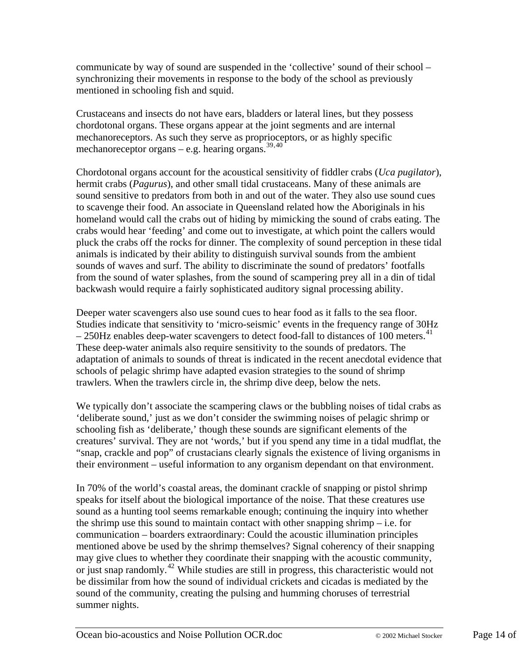communicate by way of sound are suspended in the 'collective' sound of their school – synchronizing their movements in response to the body of the school as previously mentioned in schooling fish and squid.

Crustaceans and insects do not have ears, bladders or lateral lines, but they possess chordotonal organs. These organs appear at the joint segments and are internal mechanoreceptors. As such they serve as proprioceptors, or as highly specific mechanoreceptor organs – e.g. hearing organs.[39](#page-26-15),[40](#page-26-16)

Chordotonal organs account for the acoustical sensitivity of fiddler crabs (*Uca pugilator*), hermit crabs (*Pagurus*), and other small tidal crustaceans. Many of these animals are sound sensitive to predators from both in and out of the water. They also use sound cues to scavenge their food. An associate in Queensland related how the Aboriginals in his homeland would call the crabs out of hiding by mimicking the sound of crabs eating. The crabs would hear 'feeding' and come out to investigate, at which point the callers would pluck the crabs off the rocks for dinner. The complexity of sound perception in these tidal animals is indicated by their ability to distinguish survival sounds from the ambient sounds of waves and surf. The ability to discriminate the sound of predators' footfalls from the sound of water splashes, from the sound of scampering prey all in a din of tidal backwash would require a fairly sophisticated auditory signal processing ability.

Deeper water scavengers also use sound cues to hear food as it falls to the sea floor. Studies indicate that sensitivity to 'micro-seismic' events in the frequency range of 30Hz  $-$  250Hz enables deep-water scavengers to detect food-fall to distances of 100 meters.<sup>[41](#page-26-17)</sup> These deep-water animals also require sensitivity to the sounds of predators. The adaptation of animals to sounds of threat is indicated in the recent anecdotal evidence that schools of pelagic shrimp have adapted evasion strategies to the sound of shrimp trawlers. When the trawlers circle in, the shrimp dive deep, below the nets.

We typically don't associate the scampering claws or the bubbling noises of tidal crabs as 'deliberate sound,' just as we don't consider the swimming noises of pelagic shrimp or schooling fish as 'deliberate,' though these sounds are significant elements of the creatures' survival. They are not 'words,' but if you spend any time in a tidal mudflat, the "snap, crackle and pop" of crustacians clearly signals the existence of living organisms in their environment – useful information to any organism dependant on that environment.

In 70% of the world's coastal areas, the dominant crackle of snapping or pistol shrimp speaks for itself about the biological importance of the noise. That these creatures use sound as a hunting tool seems remarkable enough; continuing the inquiry into whether the shrimp use this sound to maintain contact with other snapping shrimp  $-$  i.e. for communication – boarders extraordinary: Could the acoustic illumination principles mentioned above be used by the shrimp themselves? Signal coherency of their snapping may give clues to whether they coordinate their snapping with the acoustic community, or just snap randomly.[42](#page-26-18) While studies are still in progress, this characteristic would not be dissimilar from how the sound of individual crickets and cicadas is mediated by the sound of the community, creating the pulsing and humming choruses of terrestrial summer nights.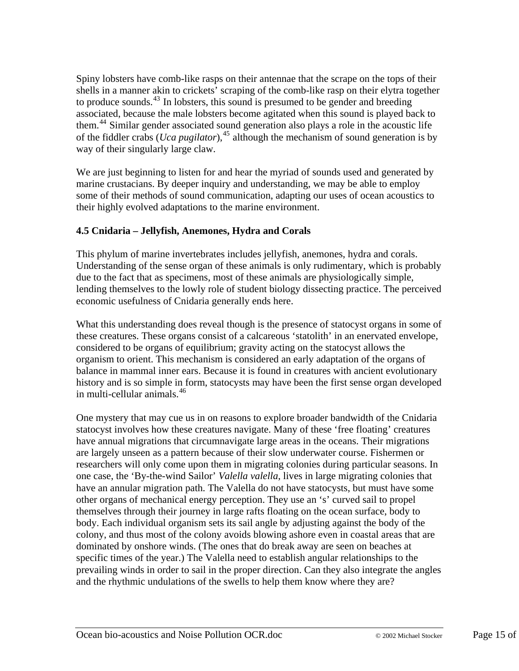Spiny lobsters have comb-like rasps on their antennae that the scrape on the tops of their shells in a manner akin to crickets' scraping of the comb-like rasp on their elytra together to produce sounds.<sup>[43](#page-26-19)</sup> In lobsters, this sound is presumed to be gender and breeding associated, because the male lobsters become agitated when this sound is played back to them.[44](#page-26-20) Similar gender associated sound generation also plays a role in the acoustic life of the fiddler crabs (*Uca pugilator*),<sup>[45](#page-26-21)</sup> although the mechanism of sound generation is by way of their singularly large claw.

We are just beginning to listen for and hear the myriad of sounds used and generated by marine crustacians. By deeper inquiry and understanding, we may be able to employ some of their methods of sound communication, adapting our uses of ocean acoustics to their highly evolved adaptations to the marine environment.

# **4.5 Cnidaria – Jellyfish, Anemones, Hydra and Corals**

This phylum of marine invertebrates includes jellyfish, anemones, hydra and corals. Understanding of the sense organ of these animals is only rudimentary, which is probably due to the fact that as specimens, most of these animals are physiologically simple, lending themselves to the lowly role of student biology dissecting practice. The perceived economic usefulness of Cnidaria generally ends here.

What this understanding does reveal though is the presence of statocyst organs in some of these creatures. These organs consist of a calcareous 'statolith' in an enervated envelope, considered to be organs of equilibrium; gravity acting on the statocyst allows the organism to orient. This mechanism is considered an early adaptation of the organs of balance in mammal inner ears. Because it is found in creatures with ancient evolutionary history and is so simple in form, statocysts may have been the first sense organ developed in multi-cellular animals.[46](#page-26-22)

One mystery that may cue us in on reasons to explore broader bandwidth of the Cnidaria statocyst involves how these creatures navigate. Many of these 'free floating' creatures have annual migrations that circumnavigate large areas in the oceans. Their migrations are largely unseen as a pattern because of their slow underwater course. Fishermen or researchers will only come upon them in migrating colonies during particular seasons. In one case, the 'By-the-wind Sailor' *Valella valella*, lives in large migrating colonies that have an annular migration path. The Valella do not have statocysts, but must have some other organs of mechanical energy perception. They use an 's' curved sail to propel themselves through their journey in large rafts floating on the ocean surface, body to body. Each individual organism sets its sail angle by adjusting against the body of the colony, and thus most of the colony avoids blowing ashore even in coastal areas that are dominated by onshore winds. (The ones that do break away are seen on beaches at specific times of the year.) The Valella need to establish angular relationships to the prevailing winds in order to sail in the proper direction. Can they also integrate the angles and the rhythmic undulations of the swells to help them know where they are?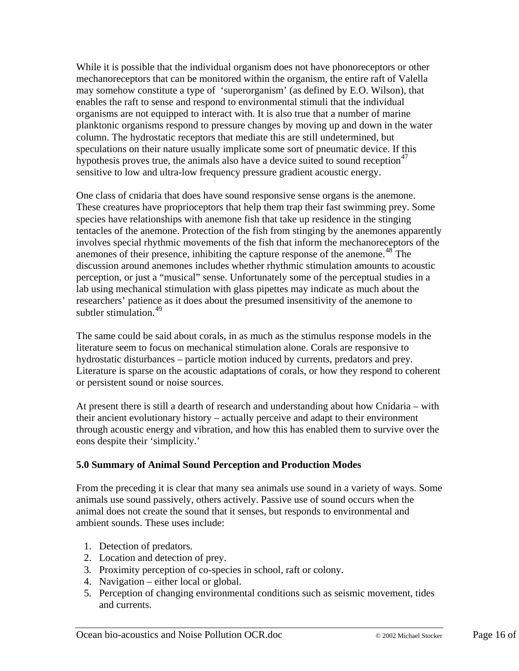While it is possible that the individual organism does not have phonoreceptors or other mechanoreceptors that can be monitored within the organism, the entire raft of Valella may somehow constitute a type of 'superorganism' (as defined by E.O. Wilson), that enables the raft to sense and respond to environmental stimuli that the individual organisms are not equipped to interact with. It is also true that a number of marine planktonic organisms respond to pressure changes by moving up and down in the water column. The hydrostatic receptors that mediate this are still undetermined, but speculations on their nature usually implicate some sort of pneumatic device. If this hypothesis proves true, the animals also have a device suited to sound reception<sup> $47$ </sup> sensitive to low and ultra-low frequency pressure gradient acoustic energy.

One class of cnidaria that does have sound responsive sense organs is the anemone. These creatures have proprioceptors that help them trap their fast swimming prey. Some species have relationships with anemone fish that take up residence in the stinging tentacles of the anemone. Protection of the fish from stinging by the anemones apparently involves special rhythmic movements of the fish that inform the mechanoreceptors of the anemones of their presence, inhibiting the capture response of the anemone.<sup>[48](#page-26-24)</sup> The discussion around anemones includes whether rhythmic stimulation amounts to acoustic perception, or just a "musical" sense. Unfortunately some of the perceptual studies in a lab using mechanical stimulation with glass pipettes may indicate as much about the researchers' patience as it does about the presumed insensitivity of the anemone to subtler stimulation.<sup>[49](#page-26-25)</sup>

The same could be said about corals, in as much as the stimulus response models in the literature seem to focus on mechanical stimulation alone. Corals are responsive to hydrostatic disturbances – particle motion induced by currents, predators and prey. Literature is sparse on the acoustic adaptations of corals, or how they respond to coherent or persistent sound or noise sources.

At present there is still a dearth of research and understanding about how Cnidaria – with their ancient evolutionary history – actually perceive and adapt to their environment through acoustic energy and vibration, and how this has enabled them to survive over the eons despite their 'simplicity.'

#### **5.0 Summary of Animal Sound Perception and Production Modes**

From the preceding it is clear that many sea animals use sound in a variety of ways. Some animals use sound passively, others actively. Passive use of sound occurs when the animal does not create the sound that it senses, but responds to environmental and ambient sounds. These uses include:

- 1. Detection of predators.
- 2. Location and detection of prey.
- 3. Proximity perception of co-species in school, raft or colony.
- 4. Navigation either local or global.
- 5. Perception of changing environmental conditions such as seismic movement, tides and currents.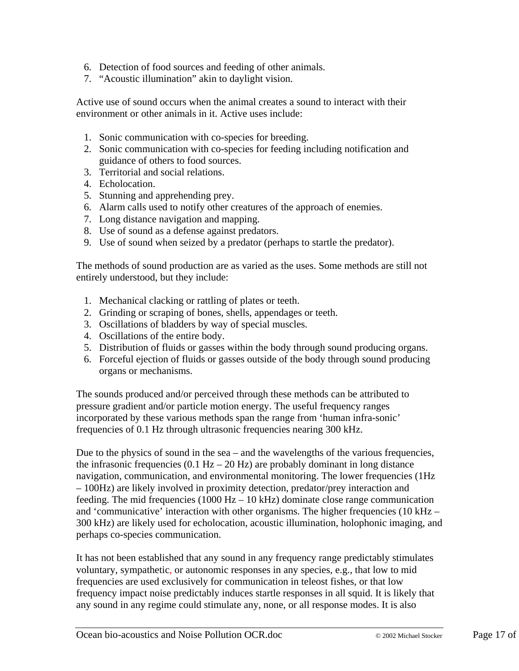- 6. Detection of food sources and feeding of other animals.
- 7. "Acoustic illumination" akin to daylight vision.

Active use of sound occurs when the animal creates a sound to interact with their environment or other animals in it. Active uses include:

- 1. Sonic communication with co-species for breeding.
- 2. Sonic communication with co-species for feeding including notification and guidance of others to food sources.
- 3. Territorial and social relations.
- 4. Echolocation.
- 5. Stunning and apprehending prey.
- 6. Alarm calls used to notify other creatures of the approach of enemies.
- 7. Long distance navigation and mapping.
- 8. Use of sound as a defense against predators.
- 9. Use of sound when seized by a predator (perhaps to startle the predator).

The methods of sound production are as varied as the uses. Some methods are still not entirely understood, but they include:

- 1. Mechanical clacking or rattling of plates or teeth.
- 2. Grinding or scraping of bones, shells, appendages or teeth.
- 3. Oscillations of bladders by way of special muscles.
- 4. Oscillations of the entire body.
- 5. Distribution of fluids or gasses within the body through sound producing organs.
- 6. Forceful ejection of fluids or gasses outside of the body through sound producing organs or mechanisms.

The sounds produced and/or perceived through these methods can be attributed to pressure gradient and/or particle motion energy. The useful frequency ranges incorporated by these various methods span the range from 'human infra-sonic' frequencies of 0.1 Hz through ultrasonic frequencies nearing 300 kHz.

Due to the physics of sound in the sea – and the wavelengths of the various frequencies, the infrasonic frequencies  $(0.1 \text{ Hz} - 20 \text{ Hz})$  are probably dominant in long distance navigation, communication, and environmental monitoring. The lower frequencies (1Hz – 100Hz) are likely involved in proximity detection, predator/prey interaction and feeding. The mid frequencies (1000 Hz – 10 kHz) dominate close range communication and 'communicative' interaction with other organisms. The higher frequencies (10 kHz – 300 kHz) are likely used for echolocation, acoustic illumination, holophonic imaging, and perhaps co-species communication.

It has not been established that any sound in any frequency range predictably stimulates voluntary, sympathetic, or autonomic responses in any species, e.g., that low to mid frequencies are used exclusively for communication in teleost fishes, or that low frequency impact noise predictably induces startle responses in all squid. It is likely that any sound in any regime could stimulate any, none, or all response modes. It is also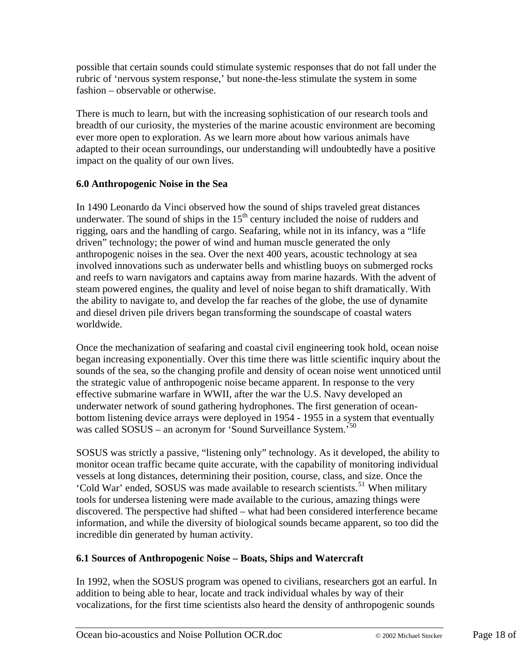possible that certain sounds could stimulate systemic responses that do not fall under the rubric of 'nervous system response,' but none-the-less stimulate the system in some fashion – observable or otherwise.

There is much to learn, but with the increasing sophistication of our research tools and breadth of our curiosity, the mysteries of the marine acoustic environment are becoming ever more open to exploration. As we learn more about how various animals have adapted to their ocean surroundings, our understanding will undoubtedly have a positive impact on the quality of our own lives.

# **6.0 Anthropogenic Noise in the Sea**

In 1490 Leonardo da Vinci observed how the sound of ships traveled great distances underwater. The sound of ships in the  $15<sup>th</sup>$  century included the noise of rudders and rigging, oars and the handling of cargo. Seafaring, while not in its infancy, was a "life driven" technology; the power of wind and human muscle generated the only anthropogenic noises in the sea. Over the next 400 years, acoustic technology at sea involved innovations such as underwater bells and whistling buoys on submerged rocks and reefs to warn navigators and captains away from marine hazards. With the advent of steam powered engines, the quality and level of noise began to shift dramatically. With the ability to navigate to, and develop the far reaches of the globe, the use of dynamite and diesel driven pile drivers began transforming the soundscape of coastal waters worldwide.

Once the mechanization of seafaring and coastal civil engineering took hold, ocean noise began increasing exponentially. Over this time there was little scientific inquiry about the sounds of the sea, so the changing profile and density of ocean noise went unnoticed until the strategic value of anthropogenic noise became apparent. In response to the very effective submarine warfare in WWII, after the war the U.S. Navy developed an underwater network of sound gathering hydrophones. The first generation of oceanbottom listening device arrays were deployed in 1954 - 1955 in a system that eventually was called SOSUS – an acronym for 'Sound Surveillance System.'<sup>[50](#page-26-26)</sup>

SOSUS was strictly a passive, "listening only" technology. As it developed, the ability to monitor ocean traffic became quite accurate, with the capability of monitoring individual vessels at long distances, determining their position, course, class, and size. Once the 'Cold War' ended, SOSUS was made available to research scientists.<sup>[51](#page-27-0)</sup> When military tools for undersea listening were made available to the curious, amazing things were discovered. The perspective had shifted – what had been considered interference became information, and while the diversity of biological sounds became apparent, so too did the incredible din generated by human activity.

# **6.1 Sources of Anthropogenic Noise – Boats, Ships and Watercraft**

In 1992, when the SOSUS program was opened to civilians, researchers got an earful. In addition to being able to hear, locate and track individual whales by way of their vocalizations, for the first time scientists also heard the density of anthropogenic sounds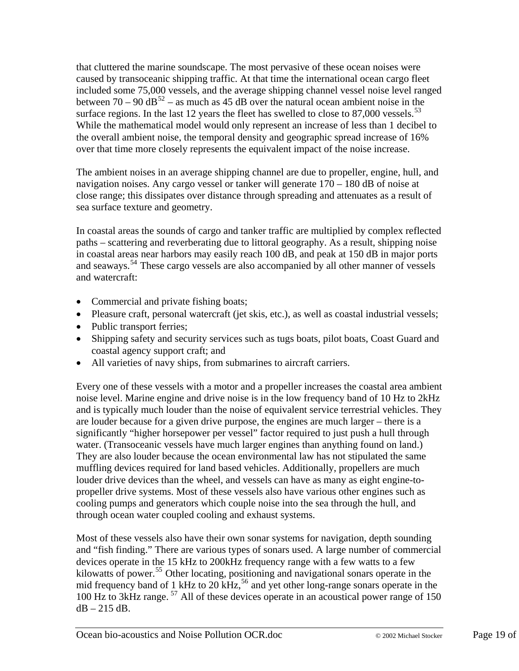that cluttered the marine soundscape. The most pervasive of these ocean noises were caused by transoceanic shipping traffic. At that time the international ocean cargo fleet included some 75,000 vessels, and the average shipping channel vessel noise level ranged between 70 – 90 dB<sup>[52](#page-27-1)</sup> – as much as 45 dB over the natural ocean ambient noise in the surface regions. In the last 12 years the fleet has swelled to close to 87,000 vessels.<sup>[53](#page-27-2)</sup> While the mathematical model would only represent an increase of less than 1 decibel to the overall ambient noise, the temporal density and geographic spread increase of 16% over that time more closely represents the equivalent impact of the noise increase.

The ambient noises in an average shipping channel are due to propeller, engine, hull, and navigation noises. Any cargo vessel or tanker will generate 170 – 180 dB of noise at close range; this dissipates over distance through spreading and attenuates as a result of sea surface texture and geometry.

In coastal areas the sounds of cargo and tanker traffic are multiplied by complex reflected paths – scattering and reverberating due to littoral geography. As a result, shipping noise in coastal areas near harbors may easily reach 100 dB, and peak at 150 dB in major ports and seaways.<sup>[54](#page-27-3)</sup> These cargo vessels are also accompanied by all other manner of vessels and watercraft:

- Commercial and private fishing boats;
- Pleasure craft, personal watercraft (jet skis, etc.), as well as coastal industrial vessels;
- Public transport ferries;
- Shipping safety and security services such as tugs boats, pilot boats, Coast Guard and coastal agency support craft; and
- All varieties of navy ships, from submarines to aircraft carriers.

Every one of these vessels with a motor and a propeller increases the coastal area ambient noise level. Marine engine and drive noise is in the low frequency band of 10 Hz to 2kHz and is typically much louder than the noise of equivalent service terrestrial vehicles. They are louder because for a given drive purpose, the engines are much larger – there is a significantly "higher horsepower per vessel" factor required to just push a hull through water. (Transoceanic vessels have much larger engines than anything found on land.) They are also louder because the ocean environmental law has not stipulated the same muffling devices required for land based vehicles. Additionally, propellers are much louder drive devices than the wheel, and vessels can have as many as eight engine-topropeller drive systems. Most of these vessels also have various other engines such as cooling pumps and generators which couple noise into the sea through the hull, and through ocean water coupled cooling and exhaust systems.

Most of these vessels also have their own sonar systems for navigation, depth sounding and "fish finding." There are various types of sonars used. A large number of commercial devices operate in the 15 kHz to 200kHz frequency range with a few watts to a few kilowatts of power.<sup>[55](#page-27-4)</sup> Other locating, positioning and navigational sonars operate in the mid frequency band of  $1$  kHz to 20 kHz,<sup>[56](#page-27-5)</sup> and yet other long-range sonars operate in the 100 Hz to 3kHz range. [57](#page-27-6) All of these devices operate in an acoustical power range of 150  $dB - 215 dB$ .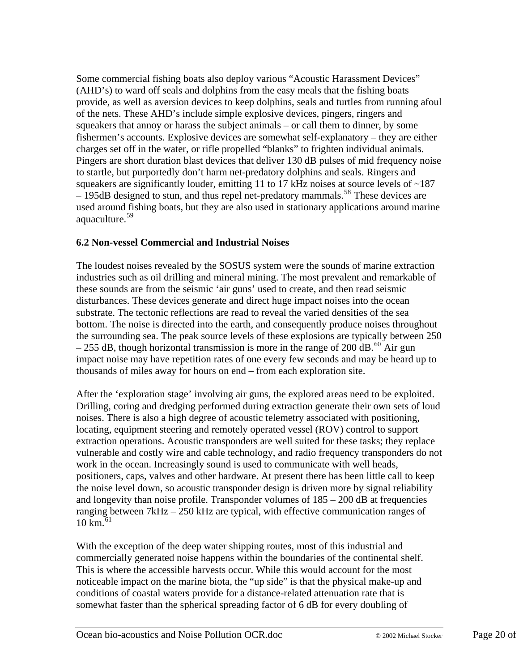Some commercial fishing boats also deploy various "Acoustic Harassment Devices" (AHD's) to ward off seals and dolphins from the easy meals that the fishing boats provide, as well as aversion devices to keep dolphins, seals and turtles from running afoul of the nets. These AHD's include simple explosive devices, pingers, ringers and squeakers that annoy or harass the subject animals – or call them to dinner, by some fishermen's accounts. Explosive devices are somewhat self-explanatory – they are either charges set off in the water, or rifle propelled "blanks" to frighten individual animals. Pingers are short duration blast devices that deliver 130 dB pulses of mid frequency noise to startle, but purportedly don't harm net-predatory dolphins and seals. Ringers and squeakers are significantly louder, emitting 11 to 17 kHz noises at source levels of ~187 – 195dB designed to stun, and thus repel net-predatory mammals.<sup>[58](#page-27-7)</sup> These devices are used around fishing boats, but they are also used in stationary applications around marine aquaculture.<sup>[59](#page-27-8)</sup>

# **6.2 Non-vessel Commercial and Industrial Noises**

The loudest noises revealed by the SOSUS system were the sounds of marine extraction industries such as oil drilling and mineral mining. The most prevalent and remarkable of these sounds are from the seismic 'air guns' used to create, and then read seismic disturbances. These devices generate and direct huge impact noises into the ocean substrate. The tectonic reflections are read to reveal the varied densities of the sea bottom. The noise is directed into the earth, and consequently produce noises throughout the surrounding sea. The peak source levels of these explosions are typically between 250  $-255$  dB, though horizontal transmission is more in the range of 200 dB.<sup>[60](#page-27-9)</sup> Air gun impact noise may have repetition rates of one every few seconds and may be heard up to thousands of miles away for hours on end – from each exploration site.

After the 'exploration stage' involving air guns, the explored areas need to be exploited. Drilling, coring and dredging performed during extraction generate their own sets of loud noises. There is also a high degree of acoustic telemetry associated with positioning, locating, equipment steering and remotely operated vessel (ROV) control to support extraction operations. Acoustic transponders are well suited for these tasks; they replace vulnerable and costly wire and cable technology, and radio frequency transponders do not work in the ocean. Increasingly sound is used to communicate with well heads, positioners, caps, valves and other hardware. At present there has been little call to keep the noise level down, so acoustic transponder design is driven more by signal reliability and longevity than noise profile. Transponder volumes of 185 – 200 dB at frequencies ranging between 7kHz – 250 kHz are typical, with effective communication ranges of  $10 \mathrm{km}$ <sup>[61](#page-27-10)</sup>

With the exception of the deep water shipping routes, most of this industrial and commercially generated noise happens within the boundaries of the continental shelf. This is where the accessible harvests occur. While this would account for the most noticeable impact on the marine biota, the "up side" is that the physical make-up and conditions of coastal waters provide for a distance-related attenuation rate that is somewhat faster than the spherical spreading factor of 6 dB for every doubling of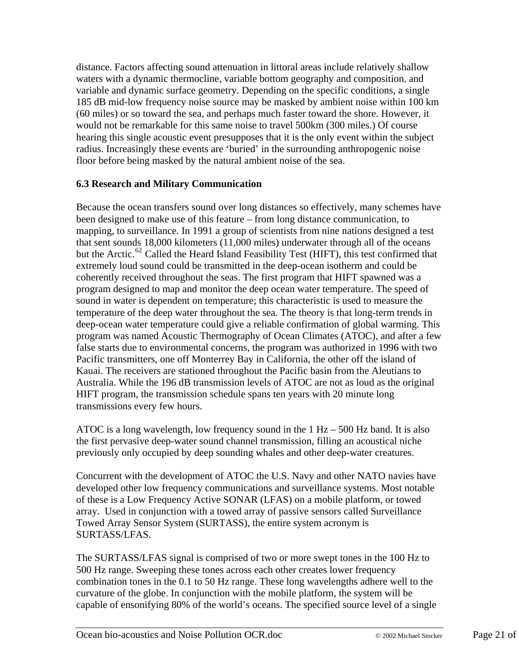distance. Factors affecting sound attenuation in littoral areas include relatively shallow waters with a dynamic thermocline, variable bottom geography and composition, and variable and dynamic surface geometry. Depending on the specific conditions, a single 185 dB mid-low frequency noise source may be masked by ambient noise within 100 km (60 miles) or so toward the sea, and perhaps much faster toward the shore. However, it would not be remarkable for this same noise to travel 500km (300 miles.) Of course hearing this single acoustic event presupposes that it is the only event within the subject radius. Increasingly these events are 'buried' in the surrounding anthropogenic noise floor before being masked by the natural ambient noise of the sea.

#### **6.3 Research and Military Communication**

Because the ocean transfers sound over long distances so effectively, many schemes have been designed to make use of this feature – from long distance communication, to mapping, to surveillance. In 1991 a group of scientists from nine nations designed a test that sent sounds 18,000 kilometers (11,000 miles) underwater through all of the oceans but the Arctic.<sup>[62](#page-27-11)</sup> Called the Heard Island Feasibility Test (HIFT), this test confirmed that extremely loud sound could be transmitted in the deep-ocean isotherm and could be coherently received throughout the seas. The first program that HIFT spawned was a program designed to map and monitor the deep ocean water temperature. The speed of sound in water is dependent on temperature; this characteristic is used to measure the temperature of the deep water throughout the sea. The theory is that long-term trends in deep-ocean water temperature could give a reliable confirmation of global warming. This program was named Acoustic Thermography of Ocean Climates (ATOC), and after a few false starts due to environmental concerns, the program was authorized in 1996 with two Pacific transmitters, one off Monterrey Bay in California, the other off the island of Kauai. The receivers are stationed throughout the Pacific basin from the Aleutians to Australia. While the 196 dB transmission levels of ATOC are not as loud as the original HIFT program, the transmission schedule spans ten years with 20 minute long transmissions every few hours.

ATOC is a long wavelength, low frequency sound in the  $1 Hz - 500 Hz$  band. It is also the first pervasive deep-water sound channel transmission, filling an acoustical niche previously only occupied by deep sounding whales and other deep-water creatures.

Concurrent with the development of ATOC the U.S. Navy and other NATO navies have developed other low frequency communications and surveillance systems. Most notable of these is a Low Frequency Active SONAR (LFAS) on a mobile platform, or towed array. Used in conjunction with a towed array of passive sensors called Surveillance Towed Array Sensor System (SURTASS), the entire system acronym is SURTASS/LFAS.

The SURTASS/LFAS signal is comprised of two or more swept tones in the 100 Hz to 500 Hz range. Sweeping these tones across each other creates lower frequency combination tones in the 0.1 to 50 Hz range. These long wavelengths adhere well to the curvature of the globe. In conjunction with the mobile platform, the system will be capable of ensonifying 80% of the world's oceans. The specified source level of a single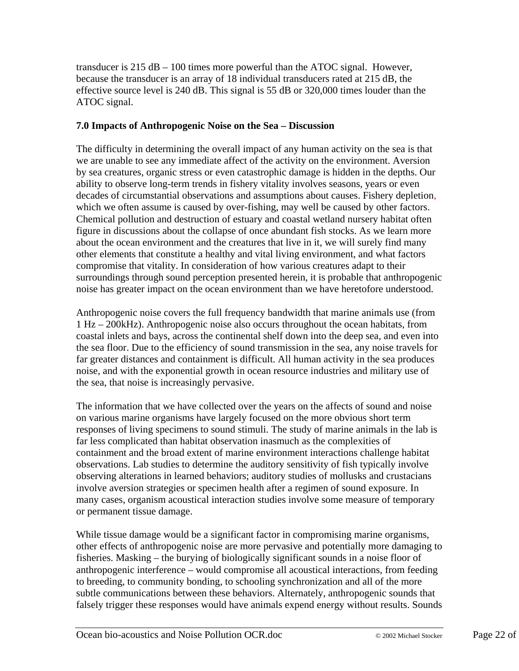transducer is  $215$  dB  $-100$  times more powerful than the ATOC signal. However, because the transducer is an array of 18 individual transducers rated at 215 dB, the effective source level is 240 dB. This signal is 55 dB or 320,000 times louder than the ATOC signal.

### **7.0 Impacts of Anthropogenic Noise on the Sea – Discussion**

The difficulty in determining the overall impact of any human activity on the sea is that we are unable to see any immediate affect of the activity on the environment. Aversion by sea creatures, organic stress or even catastrophic damage is hidden in the depths. Our ability to observe long-term trends in fishery vitality involves seasons, years or even decades of circumstantial observations and assumptions about causes. Fishery depletion, which we often assume is caused by over-fishing, may well be caused by other factors. Chemical pollution and destruction of estuary and coastal wetland nursery habitat often figure in discussions about the collapse of once abundant fish stocks. As we learn more about the ocean environment and the creatures that live in it, we will surely find many other elements that constitute a healthy and vital living environment, and what factors compromise that vitality. In consideration of how various creatures adapt to their surroundings through sound perception presented herein, it is probable that anthropogenic noise has greater impact on the ocean environment than we have heretofore understood.

Anthropogenic noise covers the full frequency bandwidth that marine animals use (from 1 Hz – 200kHz). Anthropogenic noise also occurs throughout the ocean habitats, from coastal inlets and bays, across the continental shelf down into the deep sea, and even into the sea floor. Due to the efficiency of sound transmission in the sea, any noise travels for far greater distances and containment is difficult. All human activity in the sea produces noise, and with the exponential growth in ocean resource industries and military use of the sea, that noise is increasingly pervasive.

The information that we have collected over the years on the affects of sound and noise on various marine organisms have largely focused on the more obvious short term responses of living specimens to sound stimuli. The study of marine animals in the lab is far less complicated than habitat observation inasmuch as the complexities of containment and the broad extent of marine environment interactions challenge habitat observations. Lab studies to determine the auditory sensitivity of fish typically involve observing alterations in learned behaviors; auditory studies of mollusks and crustacians involve aversion strategies or specimen health after a regimen of sound exposure. In many cases, organism acoustical interaction studies involve some measure of temporary or permanent tissue damage.

While tissue damage would be a significant factor in compromising marine organisms, other effects of anthropogenic noise are more pervasive and potentially more damaging to fisheries. Masking – the burying of biologically significant sounds in a noise floor of anthropogenic interference – would compromise all acoustical interactions, from feeding to breeding, to community bonding, to schooling synchronization and all of the more subtle communications between these behaviors. Alternately, anthropogenic sounds that falsely trigger these responses would have animals expend energy without results. Sounds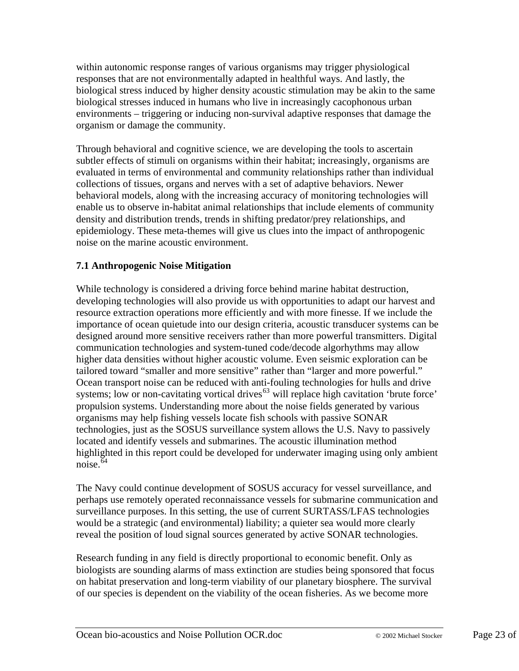within autonomic response ranges of various organisms may trigger physiological responses that are not environmentally adapted in healthful ways. And lastly, the biological stress induced by higher density acoustic stimulation may be akin to the same biological stresses induced in humans who live in increasingly cacophonous urban environments – triggering or inducing non-survival adaptive responses that damage the organism or damage the community.

Through behavioral and cognitive science, we are developing the tools to ascertain subtler effects of stimuli on organisms within their habitat; increasingly, organisms are evaluated in terms of environmental and community relationships rather than individual collections of tissues, organs and nerves with a set of adaptive behaviors. Newer behavioral models, along with the increasing accuracy of monitoring technologies will enable us to observe in-habitat animal relationships that include elements of community density and distribution trends, trends in shifting predator/prey relationships, and epidemiology. These meta-themes will give us clues into the impact of anthropogenic noise on the marine acoustic environment.

# **7.1 Anthropogenic Noise Mitigation**

While technology is considered a driving force behind marine habitat destruction, developing technologies will also provide us with opportunities to adapt our harvest and resource extraction operations more efficiently and with more finesse. If we include the importance of ocean quietude into our design criteria, acoustic transducer systems can be designed around more sensitive receivers rather than more powerful transmitters. Digital communication technologies and system-tuned code/decode algorhythms may allow higher data densities without higher acoustic volume. Even seismic exploration can be tailored toward "smaller and more sensitive" rather than "larger and more powerful." Ocean transport noise can be reduced with anti-fouling technologies for hulls and drive systems; low or non-cavitating vortical drives<sup>[63](#page-27-12)</sup> will replace high cavitation 'brute force' propulsion systems. Understanding more about the noise fields generated by various organisms may help fishing vessels locate fish schools with passive SONAR technologies, just as the SOSUS surveillance system allows the U.S. Navy to passively located and identify vessels and submarines. The acoustic illumination method highlighted in this report could be developed for underwater imaging using only ambient noise. $64$ 

The Navy could continue development of SOSUS accuracy for vessel surveillance, and perhaps use remotely operated reconnaissance vessels for submarine communication and surveillance purposes. In this setting, the use of current SURTASS/LFAS technologies would be a strategic (and environmental) liability; a quieter sea would more clearly reveal the position of loud signal sources generated by active SONAR technologies.

Research funding in any field is directly proportional to economic benefit. Only as biologists are sounding alarms of mass extinction are studies being sponsored that focus on habitat preservation and long-term viability of our planetary biosphere. The survival of our species is dependent on the viability of the ocean fisheries. As we become more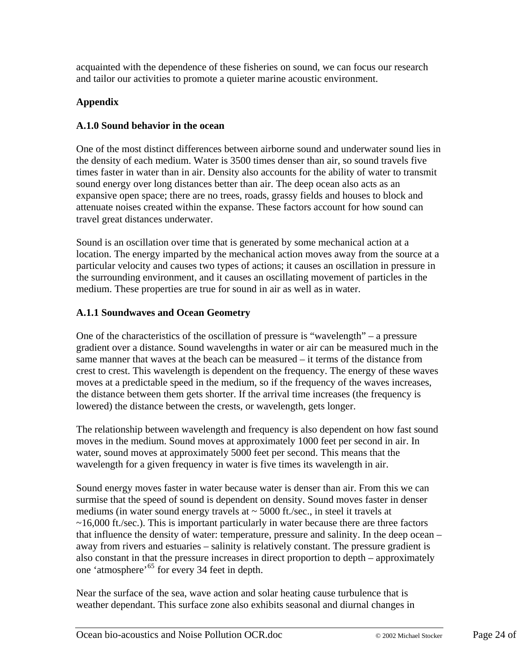acquainted with the dependence of these fisheries on sound, we can focus our research and tailor our activities to promote a quieter marine acoustic environment.

# **Appendix**

### **A.1.0 Sound behavior in the ocean**

One of the most distinct differences between airborne sound and underwater sound lies in the density of each medium. Water is 3500 times denser than air, so sound travels five times faster in water than in air. Density also accounts for the ability of water to transmit sound energy over long distances better than air. The deep ocean also acts as an expansive open space; there are no trees, roads, grassy fields and houses to block and attenuate noises created within the expanse. These factors account for how sound can travel great distances underwater.

Sound is an oscillation over time that is generated by some mechanical action at a location. The energy imparted by the mechanical action moves away from the source at a particular velocity and causes two types of actions; it causes an oscillation in pressure in the surrounding environment, and it causes an oscillating movement of particles in the medium. These properties are true for sound in air as well as in water.

### **A.1.1 Soundwaves and Ocean Geometry**

One of the characteristics of the oscillation of pressure is "wavelength" – a pressure gradient over a distance. Sound wavelengths in water or air can be measured much in the same manner that waves at the beach can be measured – it terms of the distance from crest to crest. This wavelength is dependent on the frequency. The energy of these waves moves at a predictable speed in the medium, so if the frequency of the waves increases, the distance between them gets shorter. If the arrival time increases (the frequency is lowered) the distance between the crests, or wavelength, gets longer.

The relationship between wavelength and frequency is also dependent on how fast sound moves in the medium. Sound moves at approximately 1000 feet per second in air. In water, sound moves at approximately 5000 feet per second. This means that the wavelength for a given frequency in water is five times its wavelength in air.

Sound energy moves faster in water because water is denser than air. From this we can surmise that the speed of sound is dependent on density. Sound moves faster in denser mediums (in water sound energy travels at  $\sim$  5000 ft./sec., in steel it travels at ~16,000 ft./sec.). This is important particularly in water because there are three factors that influence the density of water: temperature, pressure and salinity. In the deep ocean – away from rivers and estuaries – salinity is relatively constant. The pressure gradient is also constant in that the pressure increases in direct proportion to depth – approximately one 'atmosphere'[65](#page-27-14) for every 34 feet in depth.

Near the surface of the sea, wave action and solar heating cause turbulence that is weather dependant. This surface zone also exhibits seasonal and diurnal changes in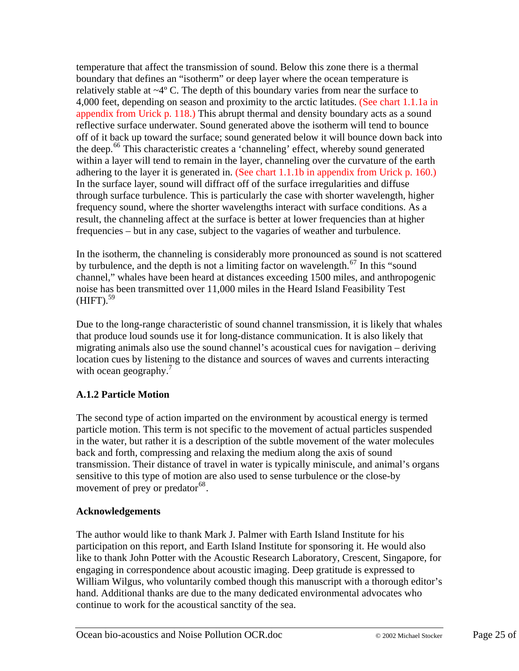temperature that affect the transmission of sound. Below this zone there is a thermal boundary that defines an "isotherm" or deep layer where the ocean temperature is relatively stable at  $\sim$ 4 $\degree$  C. The depth of this boundary varies from near the surface to 4,000 feet, depending on season and proximity to the arctic latitudes. (See chart 1.1.1a in appendix from Urick p. 118.) This abrupt thermal and density boundary acts as a sound reflective surface underwater. Sound generated above the isotherm will tend to bounce off of it back up toward the surface; sound generated below it will bounce down back into the deep.<sup>[66](#page-27-15)</sup> This characteristic creates a 'channeling' effect, whereby sound generated within a layer will tend to remain in the layer, channeling over the curvature of the earth adhering to the layer it is generated in. (See chart 1.1.1b in appendix from Urick p. 160.) In the surface layer, sound will diffract off of the surface irregularities and diffuse through surface turbulence. This is particularly the case with shorter wavelength, higher frequency sound, where the shorter wavelengths interact with surface conditions. As a result, the channeling affect at the surface is better at lower frequencies than at higher frequencies – but in any case, subject to the vagaries of weather and turbulence.

In the isotherm, the channeling is considerably more pronounced as sound is not scattered by turbulence, and the depth is not a limiting factor on wavelength.<sup>[67](#page-27-16)</sup> In this "sound" channel," whales have been heard at distances exceeding 1500 miles, and anthropogenic noise has been transmitted over 11,000 miles in the Heard Island Feasibility Test  $(HIFT)$ <sup>59</sup>

Due to the long-range characteristic of sound channel transmission, it is likely that whales that produce loud sounds use it for long-distance communication. It is also likely that migrating animals also use the sound channel's acoustical cues for navigation – deriving location cues by listening to the distance and sources of waves and currents interacting with ocean geography.<sup>7</sup>

# **A.1.2 Particle Motion**

The second type of action imparted on the environment by acoustical energy is termed particle motion. This term is not specific to the movement of actual particles suspended in the water, but rather it is a description of the subtle movement of the water molecules back and forth, compressing and relaxing the medium along the axis of sound transmission. Their distance of travel in water is typically miniscule, and animal's organs sensitive to this type of motion are also used to sense turbulence or the close-by movement of prey or predator<sup>[68](#page-27-17)</sup>.

# **Acknowledgements**

The author would like to thank Mark J. Palmer with Earth Island Institute for his participation on this report, and Earth Island Institute for sponsoring it. He would also like to thank John Potter with the Acoustic Research Laboratory, Crescent, Singapore, for engaging in correspondence about acoustic imaging. Deep gratitude is expressed to William Wilgus, who voluntarily combed though this manuscript with a thorough editor's hand. Additional thanks are due to the many dedicated environmental advocates who continue to work for the acoustical sanctity of the sea.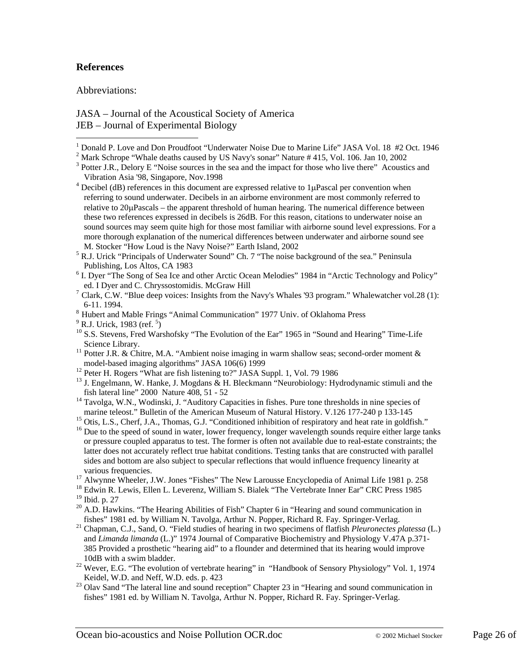#### **References**

Abbreviations:

JASA – Journal of the Acoustical Society of America JEB – Journal of Experimental Biology

<span id="page-25-4"></span><sup>5</sup> R.J. Urick "Principals of Underwater Sound" Ch. 7 "The noise background of the sea." Peninsula Publishing, Los Altos, CA 1983

- <span id="page-25-10"></span>Science Library.<br><sup>11</sup> Potter J.R. & Chitre, M.A. "Ambient noise imaging in warm shallow seas; second-order moment & model-based imaging algorithms" JASA 106(6) 1999
- 
- <span id="page-25-12"></span><span id="page-25-11"></span><sup>12</sup> Peter H. Rogers "What are fish listening to?" JASA Suppl. 1, Vol. 79 1986<br><sup>13</sup> J. Engelmann, W. Hanke, J. Mogdans & H. Bleckmann "Neurobiology: Hydrodynamic stimuli and the fish lateral line" 2000 Nature 408, 51 - 52
- <span id="page-25-13"></span><sup>14</sup> Tavolga, W.N., Wodinski, J. "Auditory Capacities in fishes. Pure tone thresholds in nine species of marine teleost." Bulletin of the American Museum of Natural History. V.126 177-240 p 133-145
- 
- <span id="page-25-15"></span><span id="page-25-14"></span><sup>15</sup> Otis, L.S., Cherf, J.A., Thomas, G.J. "Conditioned inhibition of respiratory and heat rate in goldfish."<br><sup>16</sup> Due to the speed of sound in water, lower frequency, longer wavelength sounds require either large tanks or pressure coupled apparatus to test. The former is often not available due to real-estate constraints; the latter does not accurately reflect true habitat conditions. Testing tanks that are constructed with parallel sides and bottom are also subject to specular reflections that would influence frequency linearity at
- <span id="page-25-16"></span><sup>17</sup> Alwynne Wheeler, J.W. Jones "Fishes" The New Larousse Encyclopedia of Animal Life 1981 p. 258<br><sup>18</sup> Edwin R. Lewis, Ellen L. Leverenz, William S. Bialek "The Vertebrate Inner Ear" CRC Press 1985

- <span id="page-25-19"></span><span id="page-25-18"></span><sup>20</sup> A.D. Hawkins. "The Hearing Abilities of Fish" Chapter 6 in "Hearing and sound communication in
- <span id="page-25-20"></span>fishes" 1981 ed. by William N. Tavolga, Arthur N. Popper, Richard R. Fay. Springer-Verlag. 21 Chapman, C.J., Sand, O. "Field studies of hearing in two specimens of flatfish *Pleuronectes platessa* (L.) and *Limanda limanda* (L.)" 1974 Journal of Comparative Biochemistry and Physiology V.47A p.371- 385 Provided a prosthetic "hearing aid" to a flounder and determined that its hearing would improve
- <span id="page-25-21"></span>10dB with a swim bladder. 22 Wever, E.G. "The evolution of vertebrate hearing" in "Handbook of Sensory Physiology" Vol. 1, 1974 Keidel, W.D. and Neff, W.D. eds. p. 423<br><sup>23</sup> Olav Sand "The lateral line and sound reception" Chapter 23 in "Hearing and sound communication in
- <span id="page-25-22"></span>fishes" 1981 ed. by William N. Tavolga, Arthur N. Popper, Richard R. Fay. Springer-Verlag.

<sup>&</sup>lt;sup>1</sup> Donald P. Love and Don Proudfoot "Underwater Noise Due to Marine Life" JASA Vol. 18 #2 Oct. 1946

<span id="page-25-1"></span><span id="page-25-0"></span><sup>&</sup>lt;sup>2</sup> Mark Schrope "Whale deaths caused by US Navy's sonar" Nature  $#415$ , Vol. 106. Jan 10, 2002

<span id="page-25-2"></span><sup>&</sup>lt;sup>3</sup> Potter J.R., Delory E "Noise sources in the sea and the impact for those who live there" Acoustics and Vibration Asia '98, Singapore, Nov.1998 4

<span id="page-25-3"></span> $4$  Decibel (dB) references in this document are expressed relative to  $1\mu$ Pascal per convention when referring to sound underwater. Decibels in an airborne environment are most commonly referred to relative to  $20\mu$ Pascals – the apparent threshold of human hearing. The numerical difference between these two references expressed in decibels is 26dB. For this reason, citations to underwater noise an sound sources may seem quite high for those most familiar with airborne sound level expressions. For a more thorough explanation of the numerical differences between underwater and airborne sound see M. Stocker "How Loud is the Navy Noise?" Earth Island, 2002

<span id="page-25-5"></span><sup>&</sup>lt;sup>6</sup> I. Dyer "The Song of Sea Ice and other Arctic Ocean Melodies" 1984 in "Arctic Technology and Policy"

<span id="page-25-6"></span>ed. I Dyer and C. Chryssostomidis. McGraw Hill<br>
<sup>7</sup> Clark, C.W. "Blue deep voices: Insights from the Navy's Whales '93 program." Whalewatcher vol.28 (1):<br>
6-11. 1994.

<span id="page-25-7"></span><sup>&</sup>lt;sup>8</sup> Hubert and Mable Frings "Animal Communication" 1977 Univ. of Oklahoma Press

<span id="page-25-8"></span><sup>&</sup>lt;sup>9</sup> R.J. Urick, 1983 (ref.<sup>5</sup>

<span id="page-25-9"></span><sup>&</sup>lt;sup>10</sup> S.S. Stevens, Fred Warshofsky "The Evolution of the Ear" 1965 in "Sound and Hearing" Time-Life

<span id="page-25-17"></span><sup>19</sup> Ibid. p. 27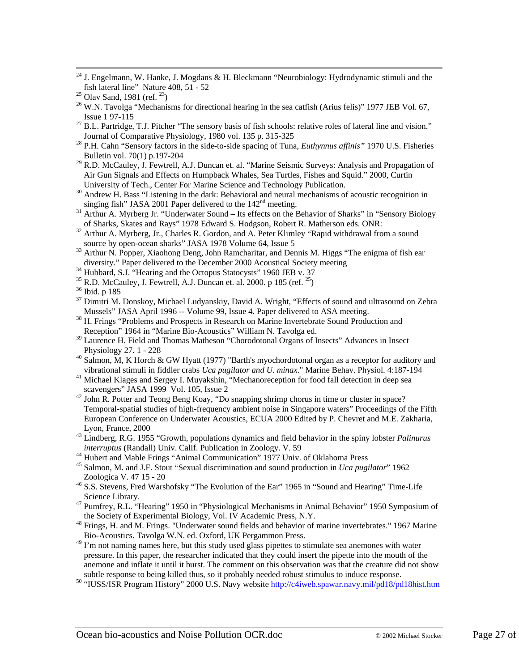<span id="page-26-0"></span><sup>24</sup> J. Engelmann, W. Hanke, J. Mogdans & H. Bleckmann "Neurobiology: Hydrodynamic stimuli and the

- <span id="page-26-1"></span>fish lateral line" Nature 408, 51 - 52<br>
<sup>25</sup> Olav Sand, 1981 (ref. <sup>23</sup>)<br>
<sup>26</sup> W.N. Tavolga "Mechanisms for directional hearing in the sea catfish (Arius felis)" 1977 JEB Vol. 67,<br>
Issue 1 97-115
- <span id="page-26-3"></span><sup>27</sup> B.L. Partridge, T.J. Pitcher "The sensory basis of fish schools: relative roles of lateral line and vision."<br>Journal of Comparative Physiology, 1980 vol. 135 p. 315-325
- <span id="page-26-4"></span><sup>28</sup> P.H. Cahn "Sensory factors in the side-to-side spacing of Tuna, *Euthynnus affinis*" 1970 U.S. Fisheries Bulletin vol. 70(1) p.197-204
- <span id="page-26-5"></span><sup>29</sup> R.D. McCauley, J. Fewtrell, A.J. Duncan et. al. "Marine Seismic Surveys: Analysis and Propagation of Air Gun Signals and Effects on Humpback Whales, Sea Turtles, Fishes and Squid." 2000, Curtin
- <span id="page-26-6"></span>University of Tech., Center For Marine Science and Technology Publication.<br><sup>30</sup> Andrew H. Bass "Listening in the dark: Behavioral and neural mechanisms of acoustic recognition in singing fish" JASA 2001 Paper delivered to
- <span id="page-26-7"></span> $\frac{31}{31}$  Arthur A. Myrberg Jr. "Underwater Sound – Its effects on the Behavior of Sharks" in "Sensory Biology of Sharks, Skates and Rays" 1978 Edward S. Hodgson, Robert R. Matherson eds. ONR:
- <span id="page-26-8"></span><sup>32</sup> Arthur A. Myrberg, Jr., Charles R. Gordon, and A. Peter Klimley "Rapid withdrawal from a sound source by open-ocean sharks" JASA 1978 Volume 64, Issue 5
- <span id="page-26-9"></span><sup>33</sup> Arthur N. Popper, Xiaohong Deng, John Ramcharitar, and Dennis M. Higgs "The enigma of fish ear diversity." Paper delivered to the December 2000 Acoustical Society meeting
- <span id="page-26-10"></span> $34$  Hubbard, S.J. "Hearing and the Octopus Statocysts" 1960 JEB v. 37
- <span id="page-26-11"></span><sup>35</sup> R.D. McCauley, J. Fewtrell, A.J. Duncan et. al. 2000. p 185 (ref. <sup>25</sup>) <sup>36</sup> Ibid. p 185
- 
- <span id="page-26-13"></span><span id="page-26-12"></span> $37$  Dimitri M. Donskoy, Michael Ludyanskiy, David A. Wright, "Effects of sound and ultrasound on Zebra Mussels" JASA April 1996 -- Volume 99, Issue 4. Paper delivered to ASA meeting. 38 H. Frings "Problems and Prospects in Research on Marine Invertebrate Sound Production and
- <span id="page-26-14"></span>Reception" 1964 in "Marine Bio-Acoustics" William N. Tavolga ed.
- <span id="page-26-15"></span> $39$  Laurence H. Field and Thomas Matheson "Chorodotonal Organs of Insects" Advances in Insect<br>Physiology 27. 1 - 228
- <sup>40</sup> Salmon, M, K Horch & GW Hyatt (1977) "Barth's myochordotonal organ as a receptor for auditory and
- <span id="page-26-17"></span><span id="page-26-16"></span>vibrational stimuli in fiddler crabs *Uca pugilator and U. minax*." Marine Behav. Physiol. 4:187-194 41 Michael Klages and Sergey I. Muyakshin, "Mechanoreception for food fall detection in deep sea scavengers" JASA 1999 Vo
- <span id="page-26-18"></span> $42$  John R. Potter and Teong Beng Koay, "Do snapping shrimp chorus in time or cluster in space? Temporal-spatial studies of high-frequency ambient noise in Singapore waters" Proceedings of the Fifth European Conference on Underwater Acoustics, ECUA 2000 Edited by P. Chevret and M.E. Zakharia,
- <span id="page-26-19"></span>Lyon, France, 2000<br><sup>43</sup> Lindberg, R.G. 1955 "Growth, populations dynamics and field behavior in the spiny lobster *Palinurus interruptus* (Randall) Univ. Calif. Publication in Zoology. V. 59
- <span id="page-26-20"></span><sup>44</sup> Hubert and Mable Frings "Animal Communication" 1977 Univ. of Oklahoma Press
- <span id="page-26-21"></span>45 Salmon, M. and J.F. Stout "Sexual discrimination and sound production in *Uca pugilator*" 1962 Zoologica V. 47 15 - 20 46 S.S. Stevens, Fred Warshofsky "The Evolution of the Ear" 1965 in "Sound and Hearing" Time-Life
- <span id="page-26-22"></span>Science Library.<br><sup>47</sup> Pumfrey, R.L. "Hearing" 1950 in "Physiological Mechanisms in Animal Behavior" 1950 Symposium of
- <span id="page-26-23"></span>the Society of Experimental Biology, Vol. IV Academic Press, N.Y. 48 Frings, H. and M. Frings. "Underwater sound fields and behavior of marine invertebrates." 1967 Marine
- <span id="page-26-24"></span>Bio-Acoustics. Tavolga W.N. ed. Oxford, UK Pergammon Press.
- <span id="page-26-25"></span><sup>49</sup> I'm not naming names here, but this study used glass pipettes to stimulate sea anemones with water pressure. In this paper, the researcher indicated that they could insert the pipette into the mouth of the anemone and inflate it until it burst. The comment on this observation was that the creature did not show
- <span id="page-26-26"></span>subtle response to being killed thus, so it probably needed robust stimulus to induce response.<br><sup>50</sup> "IUSS/ISR Program History" 2000 U.S. Navy website <http://c4iweb.spawar.navy.mil/pd18/pd18hist.htm>

<span id="page-26-2"></span>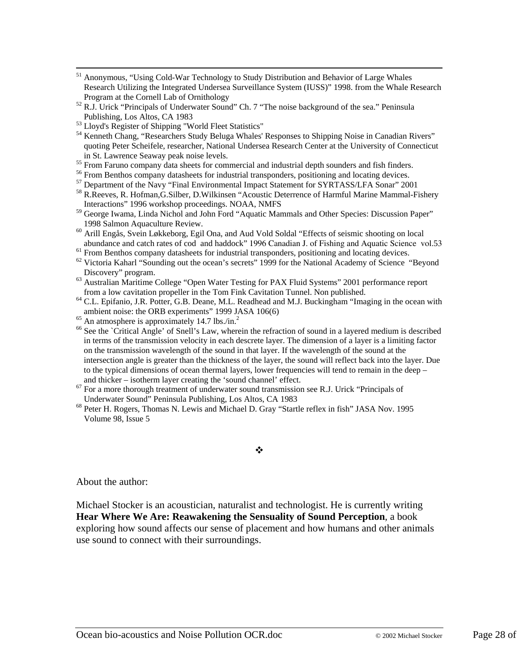- <span id="page-27-0"></span> 51 Anonymous, "Using Cold-War Technology to Study Distribution and Behavior of Large Whales Research Utilizing the Integrated Undersea Surveillance System (IUSS)" 1998. from the Whale Research Program at the Cornell Lab of Ornithology<br><sup>52</sup> R.J. Urick "Principals of Underwater Sound" Ch. 7 "The noise background of the sea." Peninsula
- <span id="page-27-1"></span>Publishing, Los Altos, CA 1983<br>
<sup>53</sup> Lloyd's Register of Shipping "World Fleet Statistics"
- 
- <span id="page-27-3"></span><span id="page-27-2"></span><sup>54</sup> Kenneth Chang, "Researchers Study Beluga Whales' Responses to Shipping Noise in Canadian Rivers" quoting Peter Scheifele, researcher, National Undersea Research Center at the University of Connecticut
- 
- <span id="page-27-4"></span>in St. Lawrence Seaway peak noise levels.<br><sup>55</sup> From Faruno company data sheets for commercial and industrial depth sounders and fish finders.<br><sup>56</sup> From Benthos company datasheets for industrial transponders, positioning an
- <span id="page-27-5"></span> $^{57}$  Department of the Navy "Final Environmental Impact Statement for SYRTASS/LFA Sonar" 2001
- <span id="page-27-7"></span><span id="page-27-6"></span>58 R.Reeves, R. Hofman,G.Silber, D.Wilkinsen "Acoustic Deterrence of Harmful Marine Mammal-Fishery Interactions" 1996 workshop proceedings. NOAA, NMFS
- <span id="page-27-8"></span>59<br>
George Iwama, Linda Nichol and John Ford "Aquatic Mammals and Other Species: Discussion Paper"<br>
1998 Salmon Aquaculture Review.
- <span id="page-27-9"></span><sup>60</sup> Arill Engås, Svein Løkkeborg, Egil Ona, and Aud Vold Soldal "Effects of seismic shooting on local abundance and catch rates of cod and haddock" 1996 Canadian J. of Fishing and Aquatic Science vol.53
- 
- <span id="page-27-11"></span><span id="page-27-10"></span><sup>61</sup> From Benthos company datasheets for industrial transponders, positioning and locating devices.<br><sup>62</sup> Victoria Kaharl "Sounding out the ocean's secrets" 1999 for the National Academy of Science "Beyond Discovery" progra
- <span id="page-27-12"></span><sup>63</sup> Australian Maritime College "Open Water Testing for PAX Fluid Systems" 2001 performance report from a low cavitation propeller in the Tom Fink Cavitation Tunnel. Non published.
- <span id="page-27-13"></span> $\frac{64}{100}$  C.L. Epifanio, J.R. Potter, G.B. Deane, M.L. Readhead and M.J. Buckingham "Imaging in the ocean with ambient noise: the ORB experiments" 1999 JASA 106(6) <sup>65</sup> An atmosphere is approximately 14.7 lbs./in.<sup>2</sup>
- <span id="page-27-14"></span>
- <span id="page-27-15"></span><sup>66</sup> See the `Critical Angle' of Snell's Law, wherein the refraction of sound in a layered medium is described in terms of the transmission velocity in each descrete layer. The dimension of a layer is a limiting factor on the transmission wavelength of the sound in that layer. If the wavelength of the sound at the intersection angle is greater than the thickness of the layer, the sound will reflect back into the layer. Due to the typical dimensions of ocean thermal layers, lower frequencies will tend to remain in the deep – and thicker – isotherm layer creating the 'sound channel' effect.
- <span id="page-27-16"></span> $\frac{a}{b}$  For a more thorough treatment of underwater sound transmission see R.J. Urick "Principals of
- <span id="page-27-17"></span>Underwater Sound" Peninsula Publishing, Los Altos, CA 1983<br><sup>68</sup> Peter H. Rogers, Thomas N. Lewis and Michael D. Gray "Startle reflex in fish" JASA Nov. 1995 Volume 98, Issue 5

#### ❖

About the author:

Michael Stocker is an acoustician, naturalist and technologist. He is currently writing **Hear Where We Are: Reawakening the Sensuality of Sound Perception**, a book exploring how sound affects our sense of placement and how humans and other animals use sound to connect with their surroundings.